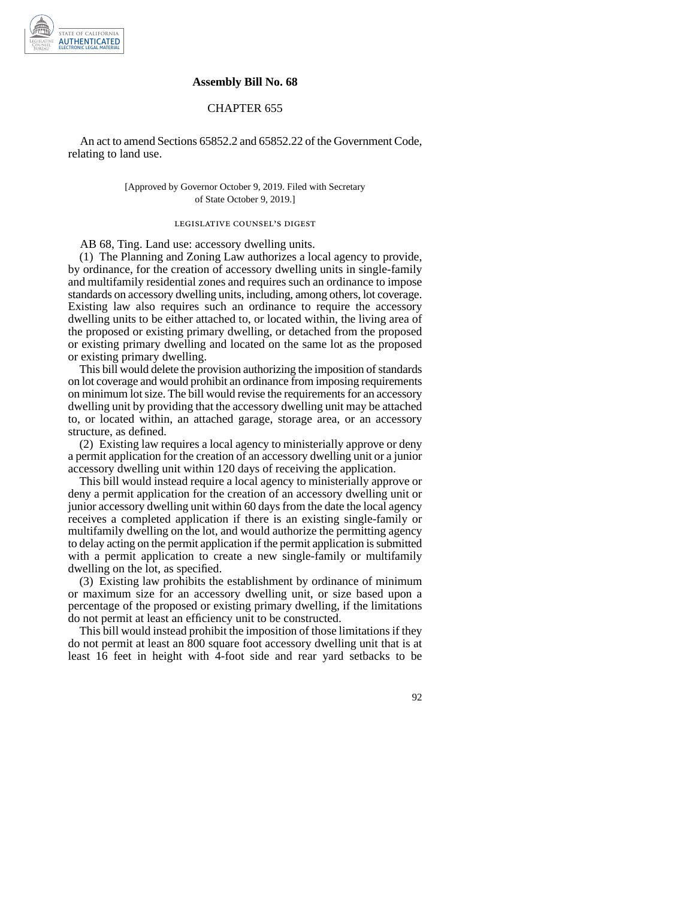

## **Assembly Bill No. 68**

## CHAPTER 655

An act to amend Sections 65852.2 and 65852.22 of the Government Code, relating to land use.

## [Approved by Governor October 9, 2019. Filed with Secretary of State October 9, 2019.]

## legislative counsel' s digest

AB 68, Ting. Land use: accessory dwelling units.

(1) The Planning and Zoning Law authorizes a local agency to provide, by ordinance, for the creation of accessory dwelling units in single-family and multifamily residential zones and requires such an ordinance to impose standards on accessory dwelling units, including, among others, lot coverage. Existing law also requires such an ordinance to require the accessory dwelling units to be either attached to, or located within, the living area of the proposed or existing primary dwelling, or detached from the proposed or existing primary dwelling and located on the same lot as the proposed or existing primary dwelling.

This bill would delete the provision authorizing the imposition of standards on lot coverage and would prohibit an ordinance from imposing requirements on minimum lot size. The bill would revise the requirements for an accessory dwelling unit by providing that the accessory dwelling unit may be attached to, or located within, an attached garage, storage area, or an accessory structure, as defined.

(2) Existing law requires a local agency to ministerially approve or deny a permit application for the creation of an accessory dwelling unit or a junior accessory dwelling unit within 120 days of receiving the application.

This bill would instead require a local agency to ministerially approve or deny a permit application for the creation of an accessory dwelling unit or junior accessory dwelling unit within 60 days from the date the local agency receives a completed application if there is an existing single-family or multifamily dwelling on the lot, and would authorize the permitting agency to delay acting on the permit application if the permit application is submitted with a permit application to create a new single-family or multifamily dwelling on the lot, as specified.

(3) Existing law prohibits the establishment by ordinance of minimum or maximum size for an accessory dwelling unit, or size based upon a percentage of the proposed or existing primary dwelling, if the limitations do not permit at least an efficiency unit to be constructed.

This bill would instead prohibit the imposition of those limitations if they do not permit at least an 800 square foot accessory dwelling unit that is at least 16 feet in height with 4-foot side and rear yard setbacks to be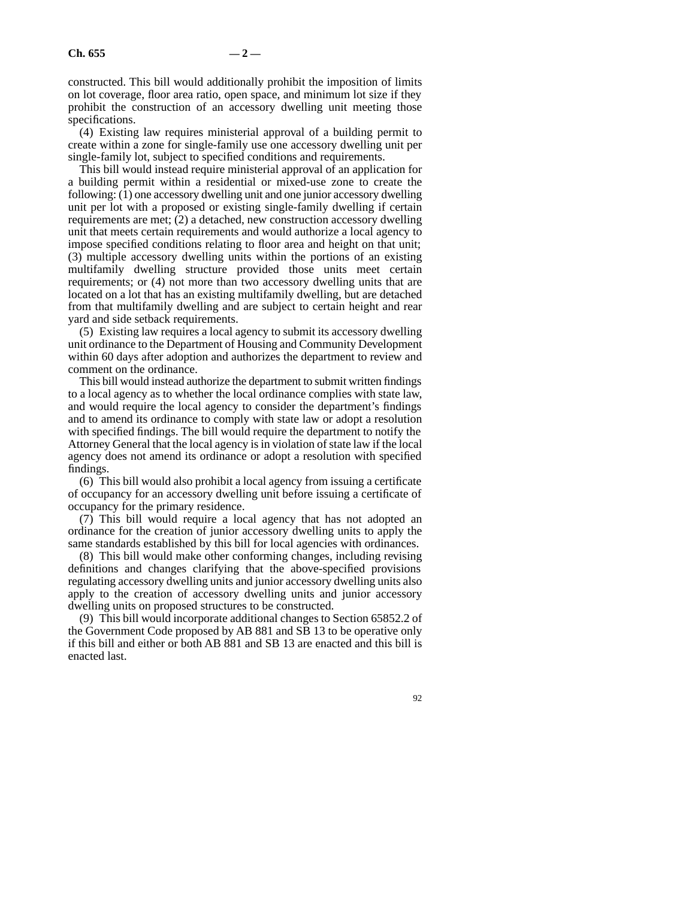constructed. This bill would additionally prohibit the imposition of limits on lot coverage, floor area ratio, open space, and minimum lot size if they prohibit the construction of an accessory dwelling unit meeting those specifications.

(4) Existing law requires ministerial approval of a building permit to create within a zone for single-family use one accessory dwelling unit per single-family lot, subject to specified conditions and requirements.

This bill would instead require ministerial approval of an application for a building permit within a residential or mixed-use zone to create the following: (1) one accessory dwelling unit and one junior accessory dwelling unit per lot with a proposed or existing single-family dwelling if certain requirements are met; (2) a detached, new construction accessory dwelling unit that meets certain requirements and would authorize a local agency to impose specified conditions relating to floor area and height on that unit; (3) multiple accessory dwelling units within the portions of an existing multifamily dwelling structure provided those units meet certain requirements; or (4) not more than two accessory dwelling units that are located on a lot that has an existing multifamily dwelling, but are detached from that multifamily dwelling and are subject to certain height and rear yard and side setback requirements.

(5) Existing law requires a local agency to submit its accessory dwelling unit ordinance to the Department of Housing and Community Development within 60 days after adoption and authorizes the department to review and comment on the ordinance.

This bill would instead authorize the department to submit written findings to a local agency as to whether the local ordinance complies with state law, and would require the local agency to consider the department's findings and to amend its ordinance to comply with state law or adopt a resolution with specified findings. The bill would require the department to notify the Attorney General that the local agency is in violation of state law if the local agency does not amend its ordinance or adopt a resolution with specified findings.

(6) This bill would also prohibit a local agency from issuing a certificate of occupancy for an accessory dwelling unit before issuing a certificate of occupancy for the primary residence.

(7) This bill would require a local agency that has not adopted an ordinance for the creation of junior accessory dwelling units to apply the same standards established by this bill for local agencies with ordinances.

(8) This bill would make other conforming changes, including revising definitions and changes clarifying that the above-specified provisions regulating accessory dwelling units and junior accessory dwelling units also apply to the creation of accessory dwelling units and junior accessory dwelling units on proposed structures to be constructed.

(9) This bill would incorporate additional changes to Section 65852.2 of the Government Code proposed by AB 881 and SB 13 to be operative only if this bill and either or both AB 881 and SB 13 are enacted and this bill is enacted last.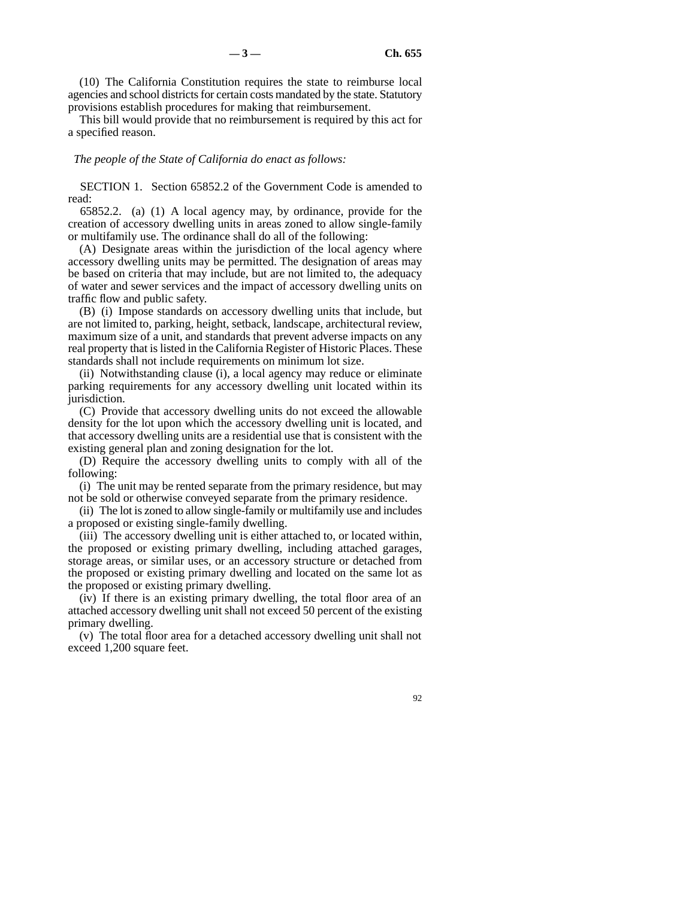(10) The California Constitution requires the state to reimburse local agencies and school districts for certain costs mandated by the state. Statutory provisions establish procedures for making that reimbursement.

This bill would provide that no reimbursement is required by this act for a specified reason.

*The people of the State of California do enact as follows:* 

SECTION 1. Section 65852.2 of the Government Code is amended to read:

65852.2. (a) (1) A local agency may, by ordinance, provide for the creation of accessory dwelling units in areas zoned to allow single-family or multifamily use. The ordinance shall do all of the following:

(A) Designate areas within the jurisdiction of the local agency where accessory dwelling units may be permitted. The designation of areas may be based on criteria that may include, but are not limited to, the adequacy of water and sewer services and the impact of accessory dwelling units on traffic flow and public safety.

(B) (i) Impose standards on accessory dwelling units that include, but are not limited to, parking, height, setback, landscape, architectural review, maximum size of a unit, and standards that prevent adverse impacts on any real property that is listed in the California Register of Historic Places. These standards shall not include requirements on minimum lot size.

(ii) Notwithstanding clause (i), a local agency may reduce or eliminate parking requirements for any accessory dwelling unit located within its jurisdiction.

(C) Provide that accessory dwelling units do not exceed the allowable density for the lot upon which the accessory dwelling unit is located, and that accessory dwelling units are a residential use that is consistent with the existing general plan and zoning designation for the lot.

(D) Require the accessory dwelling units to comply with all of the following:

(i) The unit may be rented separate from the primary residence, but may not be sold or otherwise conveyed separate from the primary residence.

(ii) The lot is zoned to allow single-family or multifamily use and includes a proposed or existing single-family dwelling.

(iii) The accessory dwelling unit is either attached to, or located within, the proposed or existing primary dwelling, including attached garages, storage areas, or similar uses, or an accessory structure or detached from the proposed or existing primary dwelling and located on the same lot as the proposed or existing primary dwelling.

(iv) If there is an existing primary dwelling, the total floor area of an attached accessory dwelling unit shall not exceed 50 percent of the existing primary dwelling.

(v) The total floor area for a detached accessory dwelling unit shall not exceed 1,200 square feet.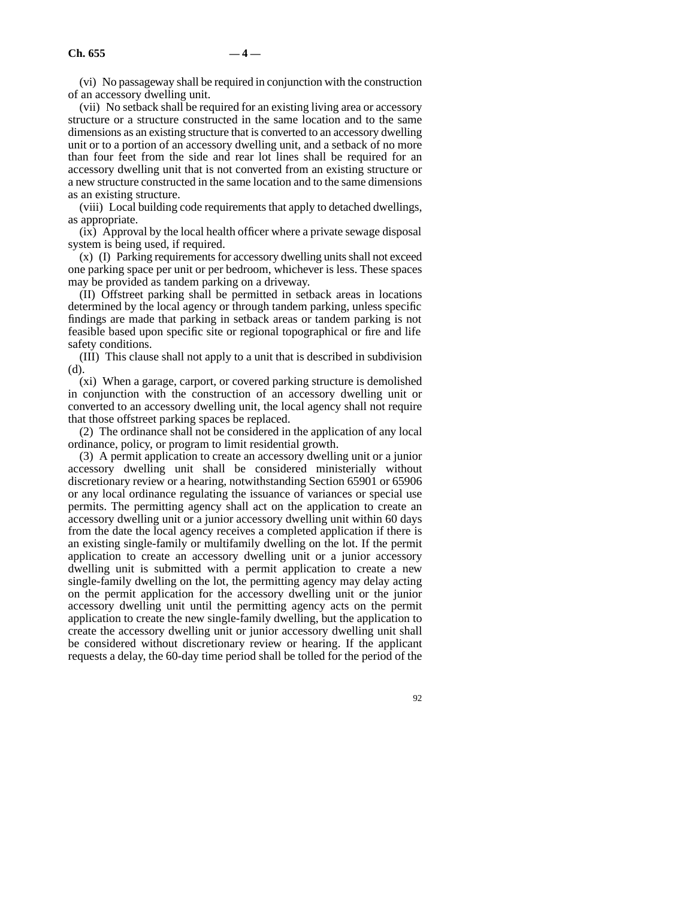(vi) No passageway shall be required in conjunction with the construction of an accessory dwelling unit.

(vii) No setback shall be required for an existing living area or accessory structure or a structure constructed in the same location and to the same dimensions as an existing structure that is converted to an accessory dwelling unit or to a portion of an accessory dwelling unit, and a setback of no more than four feet from the side and rear lot lines shall be required for an accessory dwelling unit that is not converted from an existing structure or a new structure constructed in the same location and to the same dimensions as an existing structure.

(viii) Local building code requirements that apply to detached dwellings, as appropriate.

(ix) Approval by the local health officer where a private sewage disposal system is being used, if required.

(x) (I) Parking requirements for accessory dwelling units shall not exceed one parking space per unit or per bedroom, whichever is less. These spaces may be provided as tandem parking on a driveway.

(II) Offstreet parking shall be permitted in setback areas in locations determined by the local agency or through tandem parking, unless specific findings are made that parking in setback areas or tandem parking is not feasible based upon specific site or regional topographical or fire and life safety conditions.

(III) This clause shall not apply to a unit that is described in subdivision (d).

(xi) When a garage, carport, or covered parking structure is demolished in conjunction with the construction of an accessory dwelling unit or converted to an accessory dwelling unit, the local agency shall not require that those offstreet parking spaces be replaced.

(2) The ordinance shall not be considered in the application of any local ordinance, policy, or program to limit residential growth.

(3) A permit application to create an accessory dwelling unit or a junior accessory dwelling unit shall be considered ministerially without discretionary review or a hearing, notwithstanding Section 65901 or 65906 or any local ordinance regulating the issuance of variances or special use permits. The permitting agency shall act on the application to create an accessory dwelling unit or a junior accessory dwelling unit within 60 days from the date the local agency receives a completed application if there is an existing single-family or multifamily dwelling on the lot. If the permit application to create an accessory dwelling unit or a junior accessory dwelling unit is submitted with a permit application to create a new single-family dwelling on the lot, the permitting agency may delay acting on the permit application for the accessory dwelling unit or the junior accessory dwelling unit until the permitting agency acts on the permit application to create the new single-family dwelling, but the application to create the accessory dwelling unit or junior accessory dwelling unit shall be considered without discretionary review or hearing. If the applicant requests a delay, the 60-day time period shall be tolled for the period of the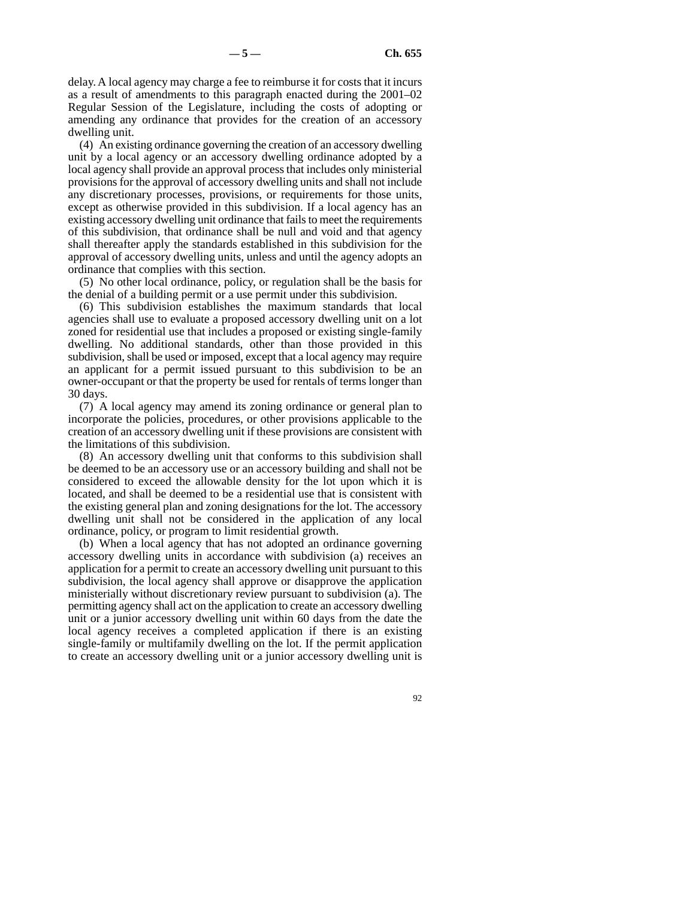delay. A local agency may charge a fee to reimburse it for costs that it incurs as a result of amendments to this paragraph enacted during the 2001–02 Regular Session of the Legislature, including the costs of adopting or amending any ordinance that provides for the creation of an accessory dwelling unit.

(4) An existing ordinance governing the creation of an accessory dwelling unit by a local agency or an accessory dwelling ordinance adopted by a local agency shall provide an approval process that includes only ministerial provisions for the approval of accessory dwelling units and shall not include any discretionary processes, provisions, or requirements for those units, except as otherwise provided in this subdivision. If a local agency has an existing accessory dwelling unit ordinance that fails to meet the requirements of this subdivision, that ordinance shall be null and void and that agency shall thereafter apply the standards established in this subdivision for the approval of accessory dwelling units, unless and until the agency adopts an ordinance that complies with this section.

(5) No other local ordinance, policy, or regulation shall be the basis for the denial of a building permit or a use permit under this subdivision.

(6) This subdivision establishes the maximum standards that local agencies shall use to evaluate a proposed accessory dwelling unit on a lot zoned for residential use that includes a proposed or existing single-family dwelling. No additional standards, other than those provided in this subdivision, shall be used or imposed, except that a local agency may require an applicant for a permit issued pursuant to this subdivision to be an owner-occupant or that the property be used for rentals of terms longer than 30 days.

(7) A local agency may amend its zoning ordinance or general plan to incorporate the policies, procedures, or other provisions applicable to the creation of an accessory dwelling unit if these provisions are consistent with the limitations of this subdivision.

(8) An accessory dwelling unit that conforms to this subdivision shall be deemed to be an accessory use or an accessory building and shall not be considered to exceed the allowable density for the lot upon which it is located, and shall be deemed to be a residential use that is consistent with the existing general plan and zoning designations for the lot. The accessory dwelling unit shall not be considered in the application of any local ordinance, policy, or program to limit residential growth.

(b) When a local agency that has not adopted an ordinance governing accessory dwelling units in accordance with subdivision (a) receives an application for a permit to create an accessory dwelling unit pursuant to this subdivision, the local agency shall approve or disapprove the application ministerially without discretionary review pursuant to subdivision (a). The permitting agency shall act on the application to create an accessory dwelling unit or a junior accessory dwelling unit within 60 days from the date the local agency receives a completed application if there is an existing single-family or multifamily dwelling on the lot. If the permit application to create an accessory dwelling unit or a junior accessory dwelling unit is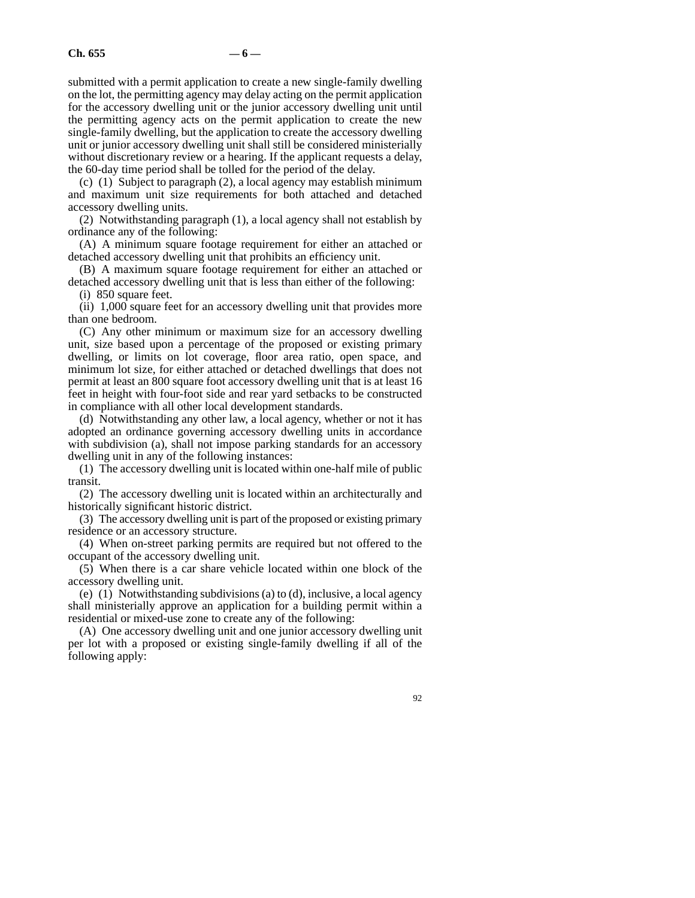submitted with a permit application to create a new single-family dwelling on the lot, the permitting agency may delay acting on the permit application for the accessory dwelling unit or the junior accessory dwelling unit until the permitting agency acts on the permit application to create the new single-family dwelling, but the application to create the accessory dwelling unit or junior accessory dwelling unit shall still be considered ministerially without discretionary review or a hearing. If the applicant requests a delay, the 60-day time period shall be tolled for the period of the delay.

(c) (1) Subject to paragraph (2), a local agency may establish minimum and maximum unit size requirements for both attached and detached accessory dwelling units.

(2) Notwithstanding paragraph (1), a local agency shall not establish by ordinance any of the following:

(A) A minimum square footage requirement for either an attached or detached accessory dwelling unit that prohibits an efficiency unit.

(B) A maximum square footage requirement for either an attached or detached accessory dwelling unit that is less than either of the following: (i) 850 square feet.

(ii) 1,000 square feet for an accessory dwelling unit that provides more than one bedroom.

(C) Any other minimum or maximum size for an accessory dwelling unit, size based upon a percentage of the proposed or existing primary dwelling, or limits on lot coverage, floor area ratio, open space, and minimum lot size, for either attached or detached dwellings that does not permit at least an 800 square foot accessory dwelling unit that is at least 16 feet in height with four-foot side and rear yard setbacks to be constructed in compliance with all other local development standards.

(d) Notwithstanding any other law, a local agency, whether or not it has adopted an ordinance governing accessory dwelling units in accordance with subdivision (a), shall not impose parking standards for an accessory dwelling unit in any of the following instances:

(1) The accessory dwelling unit is located within one-half mile of public transit.

(2) The accessory dwelling unit is located within an architecturally and historically significant historic district.

(3) The accessory dwelling unit is part of the proposed or existing primary residence or an accessory structure.

(4) When on-street parking permits are required but not offered to the occupant of the accessory dwelling unit.

(5) When there is a car share vehicle located within one block of the accessory dwelling unit.

(e) (1) Notwithstanding subdivisions (a) to (d), inclusive, a local agency shall ministerially approve an application for a building permit within a residential or mixed-use zone to create any of the following:

(A) One accessory dwelling unit and one junior accessory dwelling unit per lot with a proposed or existing single-family dwelling if all of the following apply: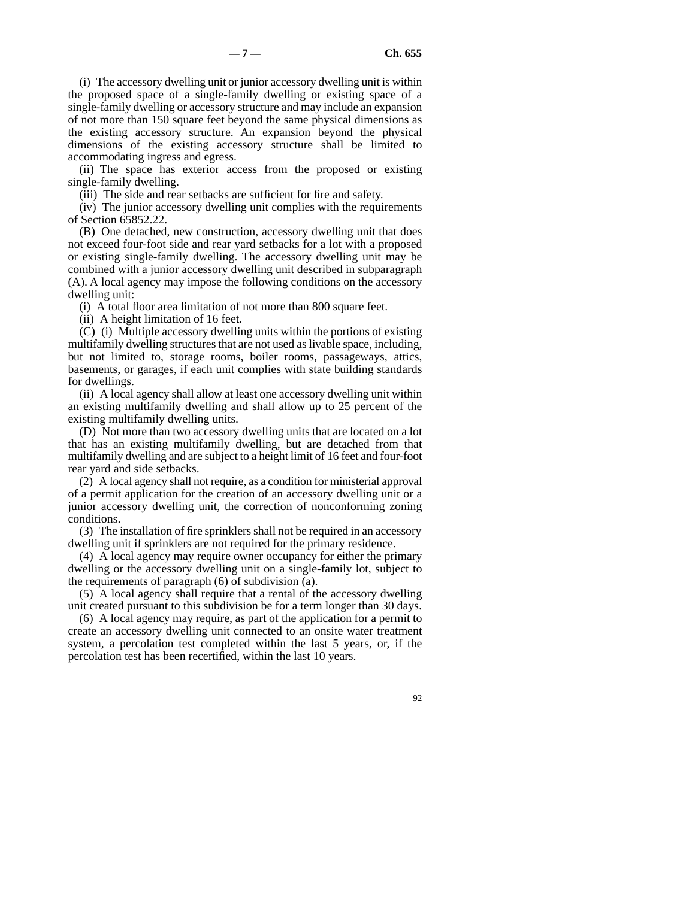(i) The accessory dwelling unit or junior accessory dwelling unit is within the proposed space of a single-family dwelling or existing space of a single-family dwelling or accessory structure and may include an expansion of not more than 150 square feet beyond the same physical dimensions as the existing accessory structure. An expansion beyond the physical dimensions of the existing accessory structure shall be limited to accommodating ingress and egress.

(ii) The space has exterior access from the proposed or existing single-family dwelling.

(iii) The side and rear setbacks are sufficient for fire and safety.

(iv) The junior accessory dwelling unit complies with the requirements of Section 65852.22.

(B) One detached, new construction, accessory dwelling unit that does not exceed four-foot side and rear yard setbacks for a lot with a proposed or existing single-family dwelling. The accessory dwelling unit may be combined with a junior accessory dwelling unit described in subparagraph (A). A local agency may impose the following conditions on the accessory dwelling unit:

(i) A total floor area limitation of not more than 800 square feet.

(ii) A height limitation of 16 feet.

(C) (i) Multiple accessory dwelling units within the portions of existing multifamily dwelling structures that are not used as livable space, including, but not limited to, storage rooms, boiler rooms, passageways, attics, basements, or garages, if each unit complies with state building standards for dwellings.

(ii) A local agency shall allow at least one accessory dwelling unit within an existing multifamily dwelling and shall allow up to 25 percent of the existing multifamily dwelling units.

(D) Not more than two accessory dwelling units that are located on a lot that has an existing multifamily dwelling, but are detached from that multifamily dwelling and are subject to a height limit of 16 feet and four-foot rear yard and side setbacks.

(2) A local agency shall not require, as a condition for ministerial approval of a permit application for the creation of an accessory dwelling unit or a junior accessory dwelling unit, the correction of nonconforming zoning conditions.

(3) The installation of fire sprinklers shall not be required in an accessory dwelling unit if sprinklers are not required for the primary residence.

(4) A local agency may require owner occupancy for either the primary dwelling or the accessory dwelling unit on a single-family lot, subject to the requirements of paragraph (6) of subdivision (a).

(5) A local agency shall require that a rental of the accessory dwelling unit created pursuant to this subdivision be for a term longer than 30 days.

(6) A local agency may require, as part of the application for a permit to create an accessory dwelling unit connected to an onsite water treatment system, a percolation test completed within the last 5 years, or, if the percolation test has been recertified, within the last 10 years.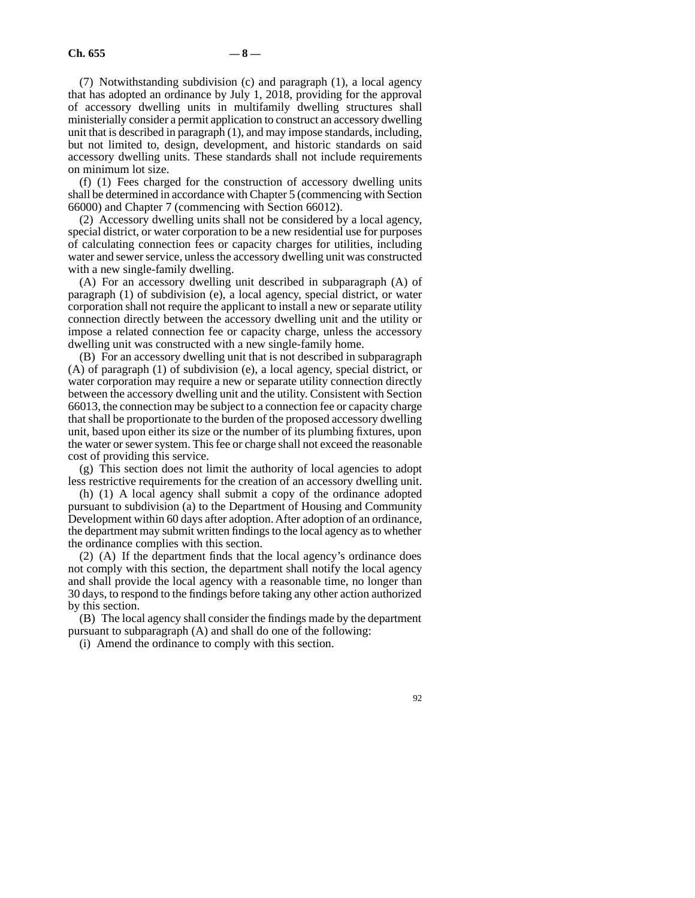(7) Notwithstanding subdivision (c) and paragraph (1), a local agency that has adopted an ordinance by July 1, 2018, providing for the approval of accessory dwelling units in multifamily dwelling structures shall ministerially consider a permit application to construct an accessory dwelling unit that is described in paragraph (1), and may impose standards, including, but not limited to, design, development, and historic standards on said accessory dwelling units. These standards shall not include requirements on minimum lot size.

(f) (1) Fees charged for the construction of accessory dwelling units shall be determined in accordance with Chapter 5 (commencing with Section 66000) and Chapter 7 (commencing with Section 66012).

(2) Accessory dwelling units shall not be considered by a local agency, special district, or water corporation to be a new residential use for purposes of calculating connection fees or capacity charges for utilities, including water and sewer service, unless the accessory dwelling unit was constructed with a new single-family dwelling.

(A) For an accessory dwelling unit described in subparagraph (A) of paragraph (1) of subdivision (e), a local agency, special district, or water corporation shall not require the applicant to install a new or separate utility connection directly between the accessory dwelling unit and the utility or impose a related connection fee or capacity charge, unless the accessory dwelling unit was constructed with a new single-family home.

(B) For an accessory dwelling unit that is not described in subparagraph (A) of paragraph (1) of subdivision (e), a local agency, special district, or water corporation may require a new or separate utility connection directly between the accessory dwelling unit and the utility. Consistent with Section 66013, the connection may be subject to a connection fee or capacity charge that shall be proportionate to the burden of the proposed accessory dwelling unit, based upon either its size or the number of its plumbing fixtures, upon the water or sewer system. This fee or charge shall not exceed the reasonable cost of providing this service.

(g) This section does not limit the authority of local agencies to adopt less restrictive requirements for the creation of an accessory dwelling unit.

(h) (1) A local agency shall submit a copy of the ordinance adopted pursuant to subdivision (a) to the Department of Housing and Community Development within 60 days after adoption. After adoption of an ordinance, the department may submit written findings to the local agency as to whether the ordinance complies with this section.

(2) (A) If the department finds that the local agency's ordinance does not comply with this section, the department shall notify the local agency and shall provide the local agency with a reasonable time, no longer than 30 days, to respond to the findings before taking any other action authorized by this section.

(B) The local agency shall consider the findings made by the department pursuant to subparagraph (A) and shall do one of the following:

(i) Amend the ordinance to comply with this section.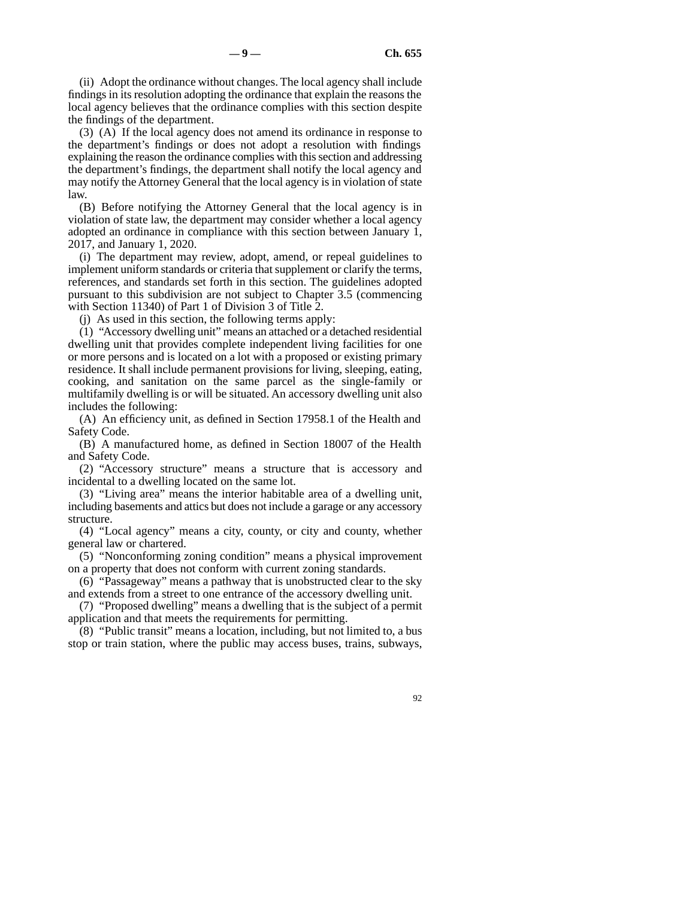(ii) Adopt the ordinance without changes. The local agency shall include findings in its resolution adopting the ordinance that explain the reasons the local agency believes that the ordinance complies with this section despite the findings of the department.

(3) (A) If the local agency does not amend its ordinance in response to the department's findings or does not adopt a resolution with findings explaining the reason the ordinance complies with this section and addressing the department's findings, the department shall notify the local agency and may notify the Attorney General that the local agency is in violation of state law.

(B) Before notifying the Attorney General that the local agency is in violation of state law, the department may consider whether a local agency adopted an ordinance in compliance with this section between January 1, 2017, and January 1, 2020.

(i) The department may review, adopt, amend, or repeal guidelines to implement uniform standards or criteria that supplement or clarify the terms, references, and standards set forth in this section. The guidelines adopted pursuant to this subdivision are not subject to Chapter 3.5 (commencing with Section 11340) of Part 1 of Division 3 of Title 2.

(j) As used in this section, the following terms apply:

(1) "Accessory dwelling unit" means an attached or a detached residential dwelling unit that provides complete independent living facilities for one or more persons and is located on a lot with a proposed or existing primary residence. It shall include permanent provisions for living, sleeping, eating, cooking, and sanitation on the same parcel as the single-family or multifamily dwelling is or will be situated. An accessory dwelling unit also includes the following:

(A) An efficiency unit, as defined in Section 17958.1 of the Health and Safety Code.

(B) A manufactured home, as defined in Section 18007 of the Health and Safety Code.

(2) "Accessory structure" means a structure that is accessory and incidental to a dwelling located on the same lot.

(3) "Living area" means the interior habitable area of a dwelling unit, including basements and attics but does not include a garage or any accessory structure.

(4) "Local agency" means a city, county, or city and county, whether general law or chartered.

(5) "Nonconforming zoning condition" means a physical improvement on a property that does not conform with current zoning standards.

(6) "Passageway" means a pathway that is unobstructed clear to the sky and extends from a street to one entrance of the accessory dwelling unit.

(7) "Proposed dwelling" means a dwelling that is the subject of a permit application and that meets the requirements for permitting.

(8) "Public transit" means a location, including, but not limited to, a bus stop or train station, where the public may access buses, trains, subways,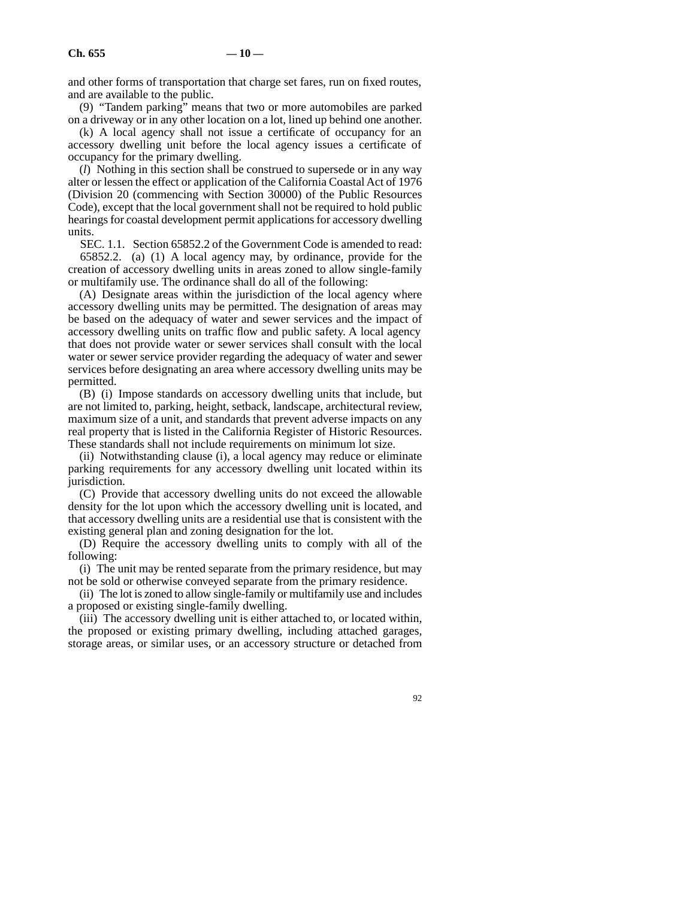and other forms of transportation that charge set fares, run on fixed routes, and are available to the public.

(9) "Tandem parking" means that two or more automobiles are parked on a driveway or in any other location on a lot, lined up behind one another.

(k) A local agency shall not issue a certificate of occupancy for an accessory dwelling unit before the local agency issues a certificate of occupancy for the primary dwelling.

(*l*) Nothing in this section shall be construed to supersede or in any way alter or lessen the effect or application of the California Coastal Act of 1976 (Division 20 (commencing with Section 30000) of the Public Resources Code), except that the local government shall not be required to hold public hearings for coastal development permit applications for accessory dwelling units.

SEC. 1.1. Section 65852.2 of the Government Code is amended to read: 65852.2. (a) (1) A local agency may, by ordinance, provide for the creation of accessory dwelling units in areas zoned to allow single-family or multifamily use. The ordinance shall do all of the following:

(A) Designate areas within the jurisdiction of the local agency where accessory dwelling units may be permitted. The designation of areas may be based on the adequacy of water and sewer services and the impact of accessory dwelling units on traffic flow and public safety. A local agency that does not provide water or sewer services shall consult with the local water or sewer service provider regarding the adequacy of water and sewer services before designating an area where accessory dwelling units may be permitted.

(B) (i) Impose standards on accessory dwelling units that include, but are not limited to, parking, height, setback, landscape, architectural review, maximum size of a unit, and standards that prevent adverse impacts on any real property that is listed in the California Register of Historic Resources. These standards shall not include requirements on minimum lot size.

(ii) Notwithstanding clause (i), a local agency may reduce or eliminate parking requirements for any accessory dwelling unit located within its jurisdiction.

(C) Provide that accessory dwelling units do not exceed the allowable density for the lot upon which the accessory dwelling unit is located, and that accessory dwelling units are a residential use that is consistent with the existing general plan and zoning designation for the lot.

(D) Require the accessory dwelling units to comply with all of the following:

(i) The unit may be rented separate from the primary residence, but may not be sold or otherwise conveyed separate from the primary residence.

(ii) The lot is zoned to allow single-family or multifamily use and includes a proposed or existing single-family dwelling.

(iii) The accessory dwelling unit is either attached to, or located within, the proposed or existing primary dwelling, including attached garages, storage areas, or similar uses, or an accessory structure or detached from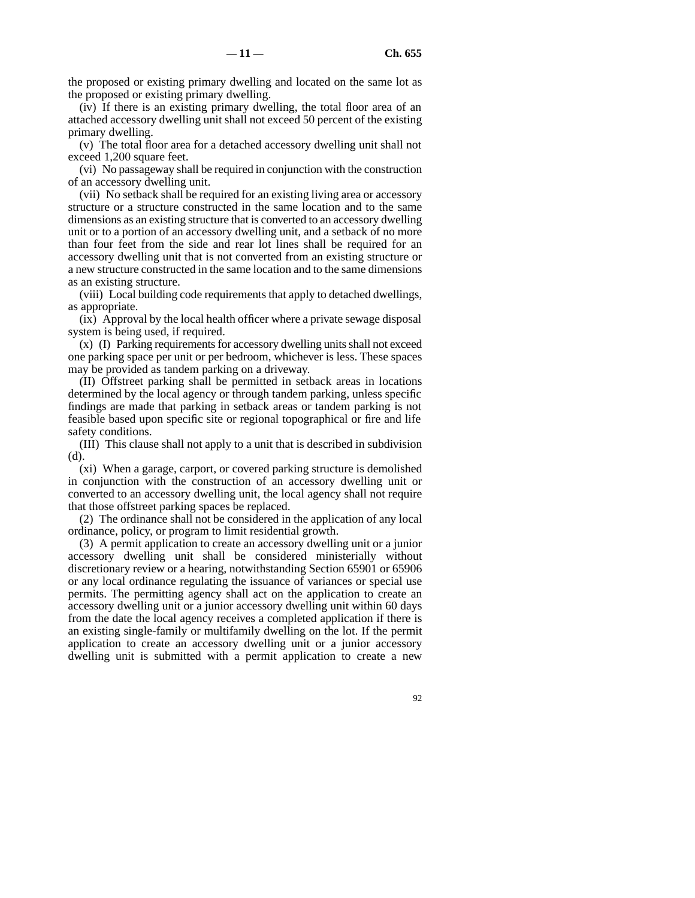the proposed or existing primary dwelling and located on the same lot as the proposed or existing primary dwelling.

(iv) If there is an existing primary dwelling, the total floor area of an attached accessory dwelling unit shall not exceed 50 percent of the existing primary dwelling.

(v) The total floor area for a detached accessory dwelling unit shall not exceed 1,200 square feet.

(vi) No passageway shall be required in conjunction with the construction of an accessory dwelling unit.

(vii) No setback shall be required for an existing living area or accessory structure or a structure constructed in the same location and to the same dimensions as an existing structure that is converted to an accessory dwelling unit or to a portion of an accessory dwelling unit, and a setback of no more than four feet from the side and rear lot lines shall be required for an accessory dwelling unit that is not converted from an existing structure or a new structure constructed in the same location and to the same dimensions as an existing structure.

(viii) Local building code requirements that apply to detached dwellings, as appropriate.

(ix) Approval by the local health officer where a private sewage disposal system is being used, if required.

(x) (I) Parking requirements for accessory dwelling units shall not exceed one parking space per unit or per bedroom, whichever is less. These spaces may be provided as tandem parking on a driveway.

(II) Offstreet parking shall be permitted in setback areas in locations determined by the local agency or through tandem parking, unless specific findings are made that parking in setback areas or tandem parking is not feasible based upon specific site or regional topographical or fire and life safety conditions.

(III) This clause shall not apply to a unit that is described in subdivision (d).

(xi) When a garage, carport, or covered parking structure is demolished in conjunction with the construction of an accessory dwelling unit or converted to an accessory dwelling unit, the local agency shall not require that those offstreet parking spaces be replaced.

(2) The ordinance shall not be considered in the application of any local ordinance, policy, or program to limit residential growth.

(3) A permit application to create an accessory dwelling unit or a junior accessory dwelling unit shall be considered ministerially without discretionary review or a hearing, notwithstanding Section 65901 or 65906 or any local ordinance regulating the issuance of variances or special use permits. The permitting agency shall act on the application to create an accessory dwelling unit or a junior accessory dwelling unit within 60 days from the date the local agency receives a completed application if there is an existing single-family or multifamily dwelling on the lot. If the permit application to create an accessory dwelling unit or a junior accessory dwelling unit is submitted with a permit application to create a new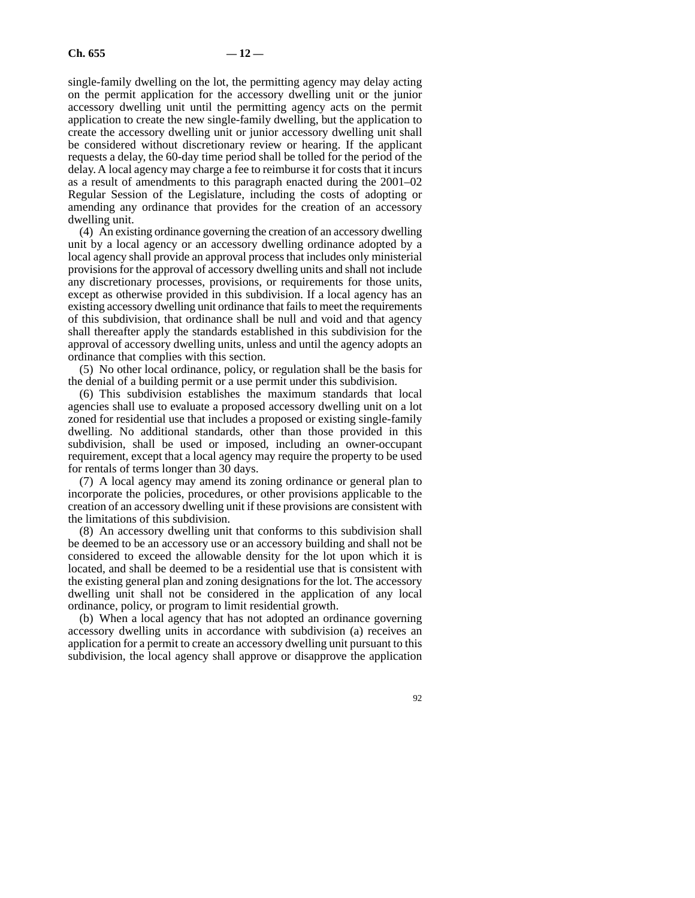single-family dwelling on the lot, the permitting agency may delay acting on the permit application for the accessory dwelling unit or the junior accessory dwelling unit until the permitting agency acts on the permit application to create the new single-family dwelling, but the application to create the accessory dwelling unit or junior accessory dwelling unit shall be considered without discretionary review or hearing. If the applicant requests a delay, the 60-day time period shall be tolled for the period of the delay. A local agency may charge a fee to reimburse it for costs that it incurs as a result of amendments to this paragraph enacted during the 2001–02 Regular Session of the Legislature, including the costs of adopting or amending any ordinance that provides for the creation of an accessory dwelling unit.

(4) An existing ordinance governing the creation of an accessory dwelling unit by a local agency or an accessory dwelling ordinance adopted by a local agency shall provide an approval process that includes only ministerial provisions for the approval of accessory dwelling units and shall not include any discretionary processes, provisions, or requirements for those units, except as otherwise provided in this subdivision. If a local agency has an existing accessory dwelling unit ordinance that fails to meet the requirements of this subdivision, that ordinance shall be null and void and that agency shall thereafter apply the standards established in this subdivision for the approval of accessory dwelling units, unless and until the agency adopts an ordinance that complies with this section.

(5) No other local ordinance, policy, or regulation shall be the basis for the denial of a building permit or a use permit under this subdivision.

(6) This subdivision establishes the maximum standards that local agencies shall use to evaluate a proposed accessory dwelling unit on a lot zoned for residential use that includes a proposed or existing single-family dwelling. No additional standards, other than those provided in this subdivision, shall be used or imposed, including an owner-occupant requirement, except that a local agency may require the property to be used for rentals of terms longer than 30 days.

(7) A local agency may amend its zoning ordinance or general plan to incorporate the policies, procedures, or other provisions applicable to the creation of an accessory dwelling unit if these provisions are consistent with the limitations of this subdivision.

(8) An accessory dwelling unit that conforms to this subdivision shall be deemed to be an accessory use or an accessory building and shall not be considered to exceed the allowable density for the lot upon which it is located, and shall be deemed to be a residential use that is consistent with the existing general plan and zoning designations for the lot. The accessory dwelling unit shall not be considered in the application of any local ordinance, policy, or program to limit residential growth.

(b) When a local agency that has not adopted an ordinance governing accessory dwelling units in accordance with subdivision (a) receives an application for a permit to create an accessory dwelling unit pursuant to this subdivision, the local agency shall approve or disapprove the application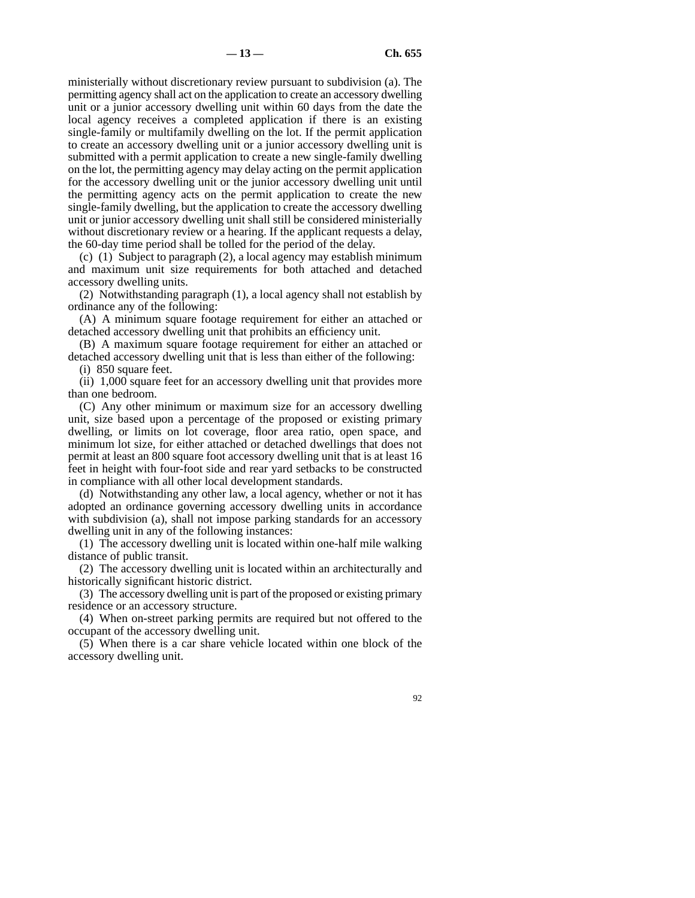ministerially without discretionary review pursuant to subdivision (a). The permitting agency shall act on the application to create an accessory dwelling unit or a junior accessory dwelling unit within 60 days from the date the local agency receives a completed application if there is an existing single-family or multifamily dwelling on the lot. If the permit application to create an accessory dwelling unit or a junior accessory dwelling unit is submitted with a permit application to create a new single-family dwelling on the lot, the permitting agency may delay acting on the permit application for the accessory dwelling unit or the junior accessory dwelling unit until the permitting agency acts on the permit application to create the new single-family dwelling, but the application to create the accessory dwelling unit or junior accessory dwelling unit shall still be considered ministerially without discretionary review or a hearing. If the applicant requests a delay, the 60-day time period shall be tolled for the period of the delay.

(c) (1) Subject to paragraph (2), a local agency may establish minimum and maximum unit size requirements for both attached and detached accessory dwelling units.

(2) Notwithstanding paragraph (1), a local agency shall not establish by ordinance any of the following:

(A) A minimum square footage requirement for either an attached or detached accessory dwelling unit that prohibits an efficiency unit.

(B) A maximum square footage requirement for either an attached or detached accessory dwelling unit that is less than either of the following:

(i) 850 square feet.

(ii) 1,000 square feet for an accessory dwelling unit that provides more than one bedroom.

(C) Any other minimum or maximum size for an accessory dwelling unit, size based upon a percentage of the proposed or existing primary dwelling, or limits on lot coverage, floor area ratio, open space, and minimum lot size, for either attached or detached dwellings that does not permit at least an 800 square foot accessory dwelling unit that is at least 16 feet in height with four-foot side and rear yard setbacks to be constructed in compliance with all other local development standards.

(d) Notwithstanding any other law, a local agency, whether or not it has adopted an ordinance governing accessory dwelling units in accordance with subdivision (a), shall not impose parking standards for an accessory dwelling unit in any of the following instances:

(1) The accessory dwelling unit is located within one-half mile walking distance of public transit.

(2) The accessory dwelling unit is located within an architecturally and historically significant historic district.

(3) The accessory dwelling unit is part of the proposed or existing primary residence or an accessory structure.

(4) When on-street parking permits are required but not offered to the occupant of the accessory dwelling unit.

(5) When there is a car share vehicle located within one block of the accessory dwelling unit.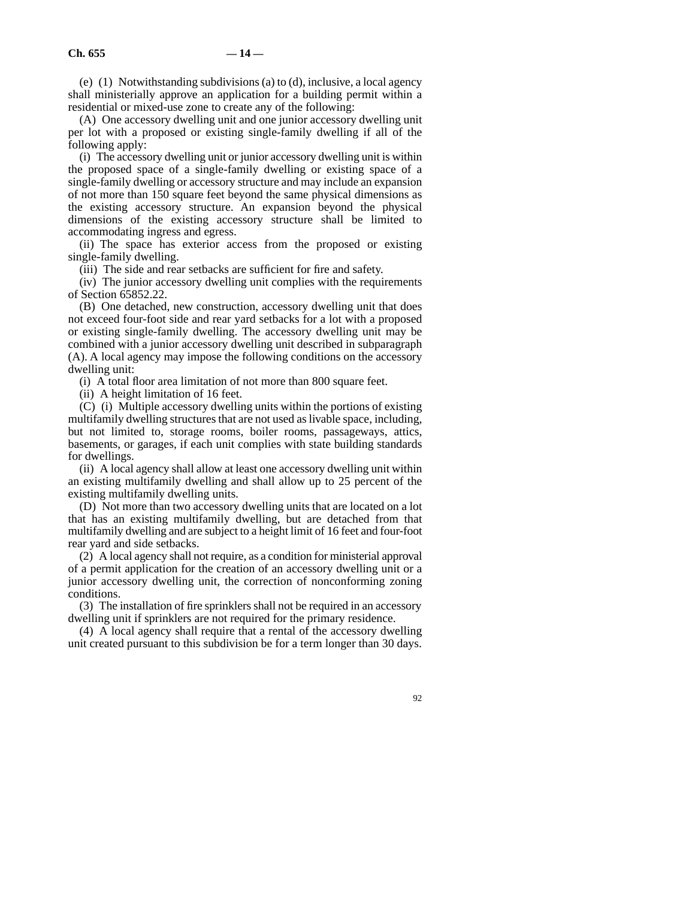(e)  $(1)$  Notwithstanding subdivisions (a) to  $(d)$ , inclusive, a local agency shall ministerially approve an application for a building permit within a residential or mixed-use zone to create any of the following:

(A) One accessory dwelling unit and one junior accessory dwelling unit per lot with a proposed or existing single-family dwelling if all of the following apply:

(i) The accessory dwelling unit or junior accessory dwelling unit is within the proposed space of a single-family dwelling or existing space of a single-family dwelling or accessory structure and may include an expansion of not more than 150 square feet beyond the same physical dimensions as the existing accessory structure. An expansion beyond the physical dimensions of the existing accessory structure shall be limited to accommodating ingress and egress.

(ii) The space has exterior access from the proposed or existing single-family dwelling.

(iii) The side and rear setbacks are sufficient for fire and safety.

(iv) The junior accessory dwelling unit complies with the requirements of Section 65852.22.

(B) One detached, new construction, accessory dwelling unit that does not exceed four-foot side and rear yard setbacks for a lot with a proposed or existing single-family dwelling. The accessory dwelling unit may be combined with a junior accessory dwelling unit described in subparagraph (A). A local agency may impose the following conditions on the accessory dwelling unit:

(i) A total floor area limitation of not more than 800 square feet.

(ii) A height limitation of 16 feet.

(C) (i) Multiple accessory dwelling units within the portions of existing multifamily dwelling structures that are not used as livable space, including, but not limited to, storage rooms, boiler rooms, passageways, attics, basements, or garages, if each unit complies with state building standards for dwellings.

(ii) A local agency shall allow at least one accessory dwelling unit within an existing multifamily dwelling and shall allow up to 25 percent of the existing multifamily dwelling units.

(D) Not more than two accessory dwelling units that are located on a lot that has an existing multifamily dwelling, but are detached from that multifamily dwelling and are subject to a height limit of 16 feet and four-foot rear yard and side setbacks.

(2) A local agency shall not require, as a condition for ministerial approval of a permit application for the creation of an accessory dwelling unit or a junior accessory dwelling unit, the correction of nonconforming zoning conditions.

(3) The installation of fire sprinklers shall not be required in an accessory dwelling unit if sprinklers are not required for the primary residence.

(4) A local agency shall require that a rental of the accessory dwelling unit created pursuant to this subdivision be for a term longer than 30 days.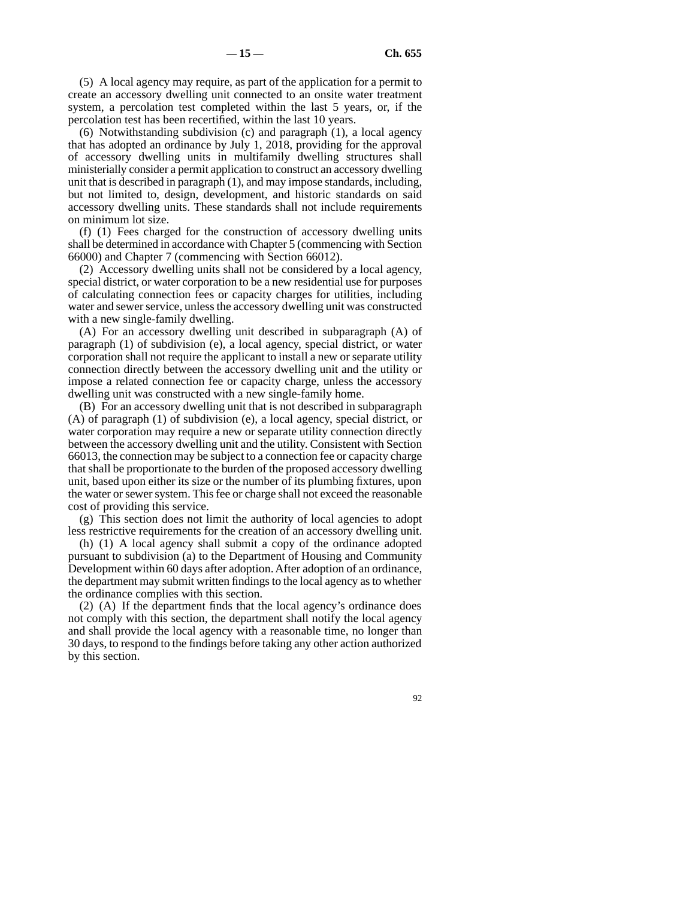(5) A local agency may require, as part of the application for a permit to create an accessory dwelling unit connected to an onsite water treatment system, a percolation test completed within the last 5 years, or, if the percolation test has been recertified, within the last 10 years.

(6) Notwithstanding subdivision (c) and paragraph (1), a local agency that has adopted an ordinance by July 1, 2018, providing for the approval of accessory dwelling units in multifamily dwelling structures shall ministerially consider a permit application to construct an accessory dwelling unit that is described in paragraph (1), and may impose standards, including, but not limited to, design, development, and historic standards on said accessory dwelling units. These standards shall not include requirements on minimum lot size.

(f) (1) Fees charged for the construction of accessory dwelling units shall be determined in accordance with Chapter 5 (commencing with Section 66000) and Chapter 7 (commencing with Section 66012).

(2) Accessory dwelling units shall not be considered by a local agency, special district, or water corporation to be a new residential use for purposes of calculating connection fees or capacity charges for utilities, including water and sewer service, unless the accessory dwelling unit was constructed with a new single-family dwelling.

(A) For an accessory dwelling unit described in subparagraph (A) of paragraph (1) of subdivision (e), a local agency, special district, or water corporation shall not require the applicant to install a new or separate utility connection directly between the accessory dwelling unit and the utility or impose a related connection fee or capacity charge, unless the accessory dwelling unit was constructed with a new single-family home.

(B) For an accessory dwelling unit that is not described in subparagraph (A) of paragraph (1) of subdivision (e), a local agency, special district, or water corporation may require a new or separate utility connection directly between the accessory dwelling unit and the utility. Consistent with Section 66013, the connection may be subject to a connection fee or capacity charge that shall be proportionate to the burden of the proposed accessory dwelling unit, based upon either its size or the number of its plumbing fixtures, upon the water or sewer system. This fee or charge shall not exceed the reasonable cost of providing this service.

(g) This section does not limit the authority of local agencies to adopt less restrictive requirements for the creation of an accessory dwelling unit.

(h) (1) A local agency shall submit a copy of the ordinance adopted pursuant to subdivision (a) to the Department of Housing and Community Development within 60 days after adoption. After adoption of an ordinance, the department may submit written findings to the local agency as to whether the ordinance complies with this section.

(2) (A) If the department finds that the local agency's ordinance does not comply with this section, the department shall notify the local agency and shall provide the local agency with a reasonable time, no longer than 30 days, to respond to the findings before taking any other action authorized by this section.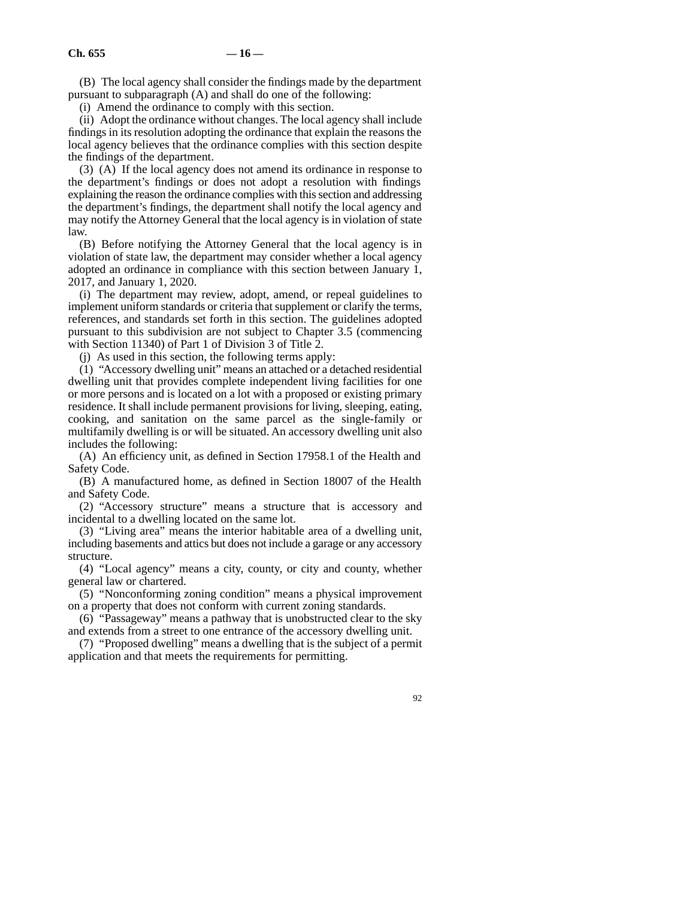(B) The local agency shall consider the findings made by the department pursuant to subparagraph (A) and shall do one of the following:

(i) Amend the ordinance to comply with this section.

(ii) Adopt the ordinance without changes. The local agency shall include findings in its resolution adopting the ordinance that explain the reasons the local agency believes that the ordinance complies with this section despite the findings of the department.

(3) (A) If the local agency does not amend its ordinance in response to the department's findings or does not adopt a resolution with findings explaining the reason the ordinance complies with this section and addressing the department's findings, the department shall notify the local agency and may notify the Attorney General that the local agency is in violation of state law.

(B) Before notifying the Attorney General that the local agency is in violation of state law, the department may consider whether a local agency adopted an ordinance in compliance with this section between January 1, 2017, and January 1, 2020.

(i) The department may review, adopt, amend, or repeal guidelines to implement uniform standards or criteria that supplement or clarify the terms, references, and standards set forth in this section. The guidelines adopted pursuant to this subdivision are not subject to Chapter 3.5 (commencing with Section 11340) of Part 1 of Division 3 of Title 2.

(j) As used in this section, the following terms apply:

(1) "Accessory dwelling unit" means an attached or a detached residential dwelling unit that provides complete independent living facilities for one or more persons and is located on a lot with a proposed or existing primary residence. It shall include permanent provisions for living, sleeping, eating, cooking, and sanitation on the same parcel as the single-family or multifamily dwelling is or will be situated. An accessory dwelling unit also includes the following:

(A) An efficiency unit, as defined in Section 17958.1 of the Health and Safety Code.

(B) A manufactured home, as defined in Section 18007 of the Health and Safety Code.

(2) "Accessory structure" means a structure that is accessory and incidental to a dwelling located on the same lot.

(3) "Living area" means the interior habitable area of a dwelling unit, including basements and attics but does not include a garage or any accessory structure.

(4) "Local agency" means a city, county, or city and county, whether general law or chartered.

(5) "Nonconforming zoning condition" means a physical improvement on a property that does not conform with current zoning standards.

(6) "Passageway" means a pathway that is unobstructed clear to the sky and extends from a street to one entrance of the accessory dwelling unit.

(7) "Proposed dwelling" means a dwelling that is the subject of a permit application and that meets the requirements for permitting.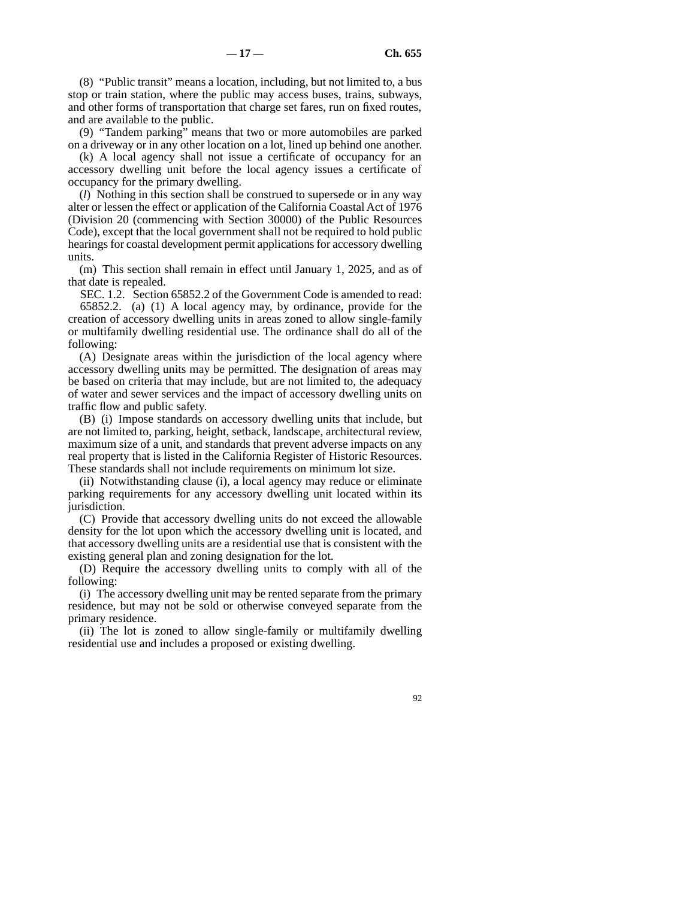(8) "Public transit" means a location, including, but not limited to, a bus stop or train station, where the public may access buses, trains, subways, and other forms of transportation that charge set fares, run on fixed routes, and are available to the public.

(9) "Tandem parking" means that two or more automobiles are parked on a driveway or in any other location on a lot, lined up behind one another.

(k) A local agency shall not issue a certificate of occupancy for an accessory dwelling unit before the local agency issues a certificate of occupancy for the primary dwelling.

(*l*) Nothing in this section shall be construed to supersede or in any way alter or lessen the effect or application of the California Coastal Act of 1976 (Division 20 (commencing with Section 30000) of the Public Resources Code), except that the local government shall not be required to hold public hearings for coastal development permit applications for accessory dwelling units.

(m) This section shall remain in effect until January 1, 2025, and as of that date is repealed.

SEC. 1.2. Section 65852.2 of the Government Code is amended to read: 65852.2. (a) (1) A local agency may, by ordinance, provide for the creation of accessory dwelling units in areas zoned to allow single-family or multifamily dwelling residential use. The ordinance shall do all of the following:

(A) Designate areas within the jurisdiction of the local agency where accessory dwelling units may be permitted. The designation of areas may be based on criteria that may include, but are not limited to, the adequacy of water and sewer services and the impact of accessory dwelling units on traffic flow and public safety.

(B) (i) Impose standards on accessory dwelling units that include, but are not limited to, parking, height, setback, landscape, architectural review, maximum size of a unit, and standards that prevent adverse impacts on any real property that is listed in the California Register of Historic Resources. These standards shall not include requirements on minimum lot size.

(ii) Notwithstanding clause (i), a local agency may reduce or eliminate parking requirements for any accessory dwelling unit located within its jurisdiction.

(C) Provide that accessory dwelling units do not exceed the allowable density for the lot upon which the accessory dwelling unit is located, and that accessory dwelling units are a residential use that is consistent with the existing general plan and zoning designation for the lot.

(D) Require the accessory dwelling units to comply with all of the following:

(i) The accessory dwelling unit may be rented separate from the primary residence, but may not be sold or otherwise conveyed separate from the primary residence.

(ii) The lot is zoned to allow single-family or multifamily dwelling residential use and includes a proposed or existing dwelling.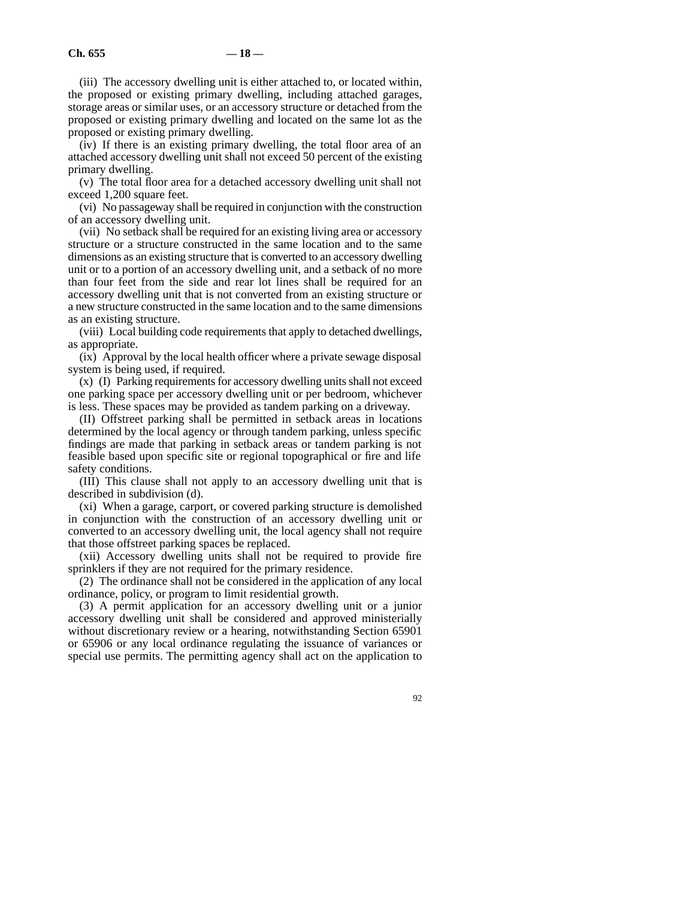(iii) The accessory dwelling unit is either attached to, or located within, the proposed or existing primary dwelling, including attached garages, storage areas or similar uses, or an accessory structure or detached from the proposed or existing primary dwelling and located on the same lot as the proposed or existing primary dwelling.

(iv) If there is an existing primary dwelling, the total floor area of an attached accessory dwelling unit shall not exceed 50 percent of the existing primary dwelling.

(v) The total floor area for a detached accessory dwelling unit shall not exceed 1,200 square feet.

(vi) No passageway shall be required in conjunction with the construction of an accessory dwelling unit.

(vii) No setback shall be required for an existing living area or accessory structure or a structure constructed in the same location and to the same dimensions as an existing structure that is converted to an accessory dwelling unit or to a portion of an accessory dwelling unit, and a setback of no more than four feet from the side and rear lot lines shall be required for an accessory dwelling unit that is not converted from an existing structure or a new structure constructed in the same location and to the same dimensions as an existing structure.

(viii) Local building code requirements that apply to detached dwellings, as appropriate.

(ix) Approval by the local health officer where a private sewage disposal system is being used, if required.

(x) (I) Parking requirements for accessory dwelling units shall not exceed one parking space per accessory dwelling unit or per bedroom, whichever is less. These spaces may be provided as tandem parking on a driveway.

(II) Offstreet parking shall be permitted in setback areas in locations determined by the local agency or through tandem parking, unless specific findings are made that parking in setback areas or tandem parking is not feasible based upon specific site or regional topographical or fire and life safety conditions.

(III) This clause shall not apply to an accessory dwelling unit that is described in subdivision (d).

(xi) When a garage, carport, or covered parking structure is demolished in conjunction with the construction of an accessory dwelling unit or converted to an accessory dwelling unit, the local agency shall not require that those offstreet parking spaces be replaced.

(xii) Accessory dwelling units shall not be required to provide fire sprinklers if they are not required for the primary residence.

(2) The ordinance shall not be considered in the application of any local ordinance, policy, or program to limit residential growth.

(3) A permit application for an accessory dwelling unit or a junior accessory dwelling unit shall be considered and approved ministerially without discretionary review or a hearing, notwithstanding Section 65901 or 65906 or any local ordinance regulating the issuance of variances or special use permits. The permitting agency shall act on the application to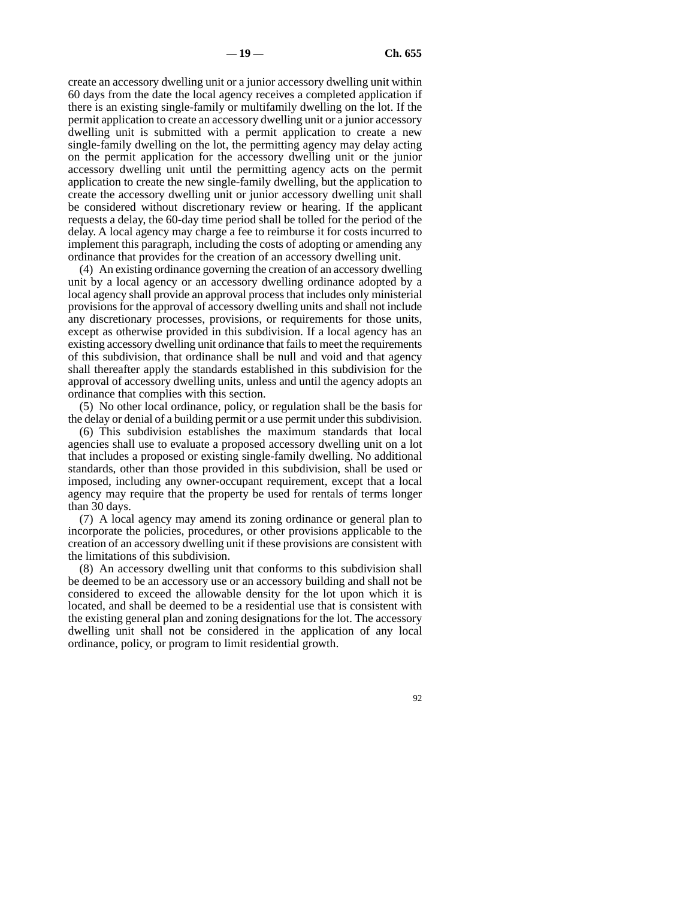create an accessory dwelling unit or a junior accessory dwelling unit within 60 days from the date the local agency receives a completed application if there is an existing single-family or multifamily dwelling on the lot. If the permit application to create an accessory dwelling unit or a junior accessory dwelling unit is submitted with a permit application to create a new single-family dwelling on the lot, the permitting agency may delay acting on the permit application for the accessory dwelling unit or the junior accessory dwelling unit until the permitting agency acts on the permit application to create the new single-family dwelling, but the application to create the accessory dwelling unit or junior accessory dwelling unit shall be considered without discretionary review or hearing. If the applicant requests a delay, the 60-day time period shall be tolled for the period of the delay. A local agency may charge a fee to reimburse it for costs incurred to implement this paragraph, including the costs of adopting or amending any ordinance that provides for the creation of an accessory dwelling unit.

(4) An existing ordinance governing the creation of an accessory dwelling unit by a local agency or an accessory dwelling ordinance adopted by a local agency shall provide an approval process that includes only ministerial provisions for the approval of accessory dwelling units and shall not include any discretionary processes, provisions, or requirements for those units, except as otherwise provided in this subdivision. If a local agency has an existing accessory dwelling unit ordinance that fails to meet the requirements of this subdivision, that ordinance shall be null and void and that agency shall thereafter apply the standards established in this subdivision for the approval of accessory dwelling units, unless and until the agency adopts an ordinance that complies with this section.

(5) No other local ordinance, policy, or regulation shall be the basis for the delay or denial of a building permit or a use permit under this subdivision.

(6) This subdivision establishes the maximum standards that local agencies shall use to evaluate a proposed accessory dwelling unit on a lot that includes a proposed or existing single-family dwelling. No additional standards, other than those provided in this subdivision, shall be used or imposed, including any owner-occupant requirement, except that a local agency may require that the property be used for rentals of terms longer than 30 days.

(7) A local agency may amend its zoning ordinance or general plan to incorporate the policies, procedures, or other provisions applicable to the creation of an accessory dwelling unit if these provisions are consistent with the limitations of this subdivision.

(8) An accessory dwelling unit that conforms to this subdivision shall be deemed to be an accessory use or an accessory building and shall not be considered to exceed the allowable density for the lot upon which it is located, and shall be deemed to be a residential use that is consistent with the existing general plan and zoning designations for the lot. The accessory dwelling unit shall not be considered in the application of any local ordinance, policy, or program to limit residential growth.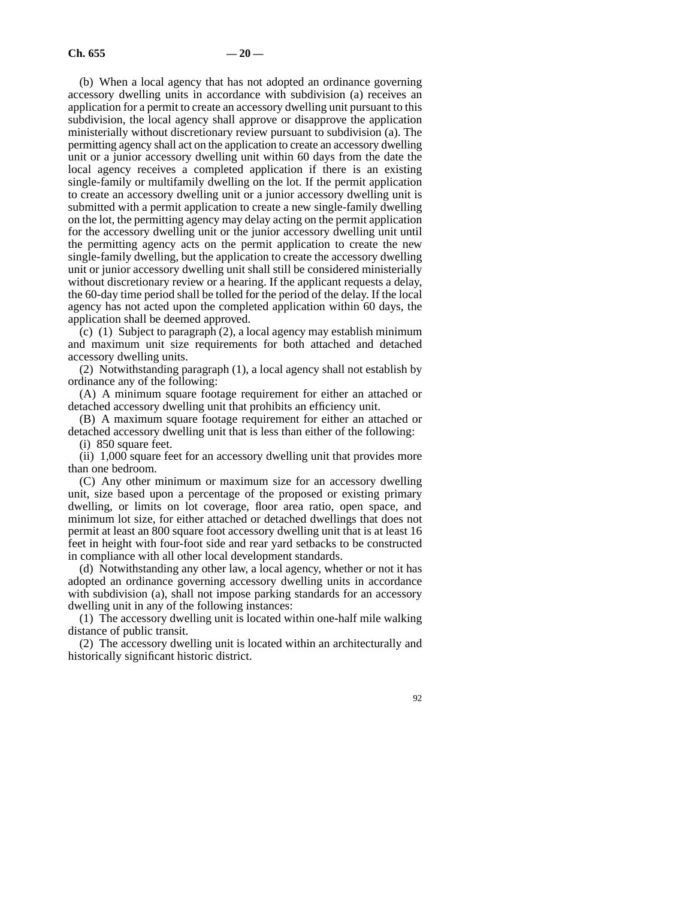(b) When a local agency that has not adopted an ordinance governing accessory dwelling units in accordance with subdivision (a) receives an application for a permit to create an accessory dwelling unit pursuant to this subdivision, the local agency shall approve or disapprove the application ministerially without discretionary review pursuant to subdivision (a). The permitting agency shall act on the application to create an accessory dwelling unit or a junior accessory dwelling unit within 60 days from the date the local agency receives a completed application if there is an existing single-family or multifamily dwelling on the lot. If the permit application to create an accessory dwelling unit or a junior accessory dwelling unit is submitted with a permit application to create a new single-family dwelling on the lot, the permitting agency may delay acting on the permit application for the accessory dwelling unit or the junior accessory dwelling unit until the permitting agency acts on the permit application to create the new single-family dwelling, but the application to create the accessory dwelling unit or junior accessory dwelling unit shall still be considered ministerially without discretionary review or a hearing. If the applicant requests a delay, the 60-day time period shall be tolled for the period of the delay. If the local agency has not acted upon the completed application within 60 days, the application shall be deemed approved.

(c) (1) Subject to paragraph (2), a local agency may establish minimum and maximum unit size requirements for both attached and detached accessory dwelling units.

(2) Notwithstanding paragraph (1), a local agency shall not establish by ordinance any of the following:

(A) A minimum square footage requirement for either an attached or detached accessory dwelling unit that prohibits an efficiency unit.

(B) A maximum square footage requirement for either an attached or detached accessory dwelling unit that is less than either of the following:

(i) 850 square feet.

(ii) 1,000 square feet for an accessory dwelling unit that provides more than one bedroom.

(C) Any other minimum or maximum size for an accessory dwelling unit, size based upon a percentage of the proposed or existing primary dwelling, or limits on lot coverage, floor area ratio, open space, and minimum lot size, for either attached or detached dwellings that does not permit at least an 800 square foot accessory dwelling unit that is at least 16 feet in height with four-foot side and rear yard setbacks to be constructed in compliance with all other local development standards.

(d) Notwithstanding any other law, a local agency, whether or not it has adopted an ordinance governing accessory dwelling units in accordance with subdivision (a), shall not impose parking standards for an accessory dwelling unit in any of the following instances:

(1) The accessory dwelling unit is located within one-half mile walking distance of public transit.

(2) The accessory dwelling unit is located within an architecturally and historically significant historic district.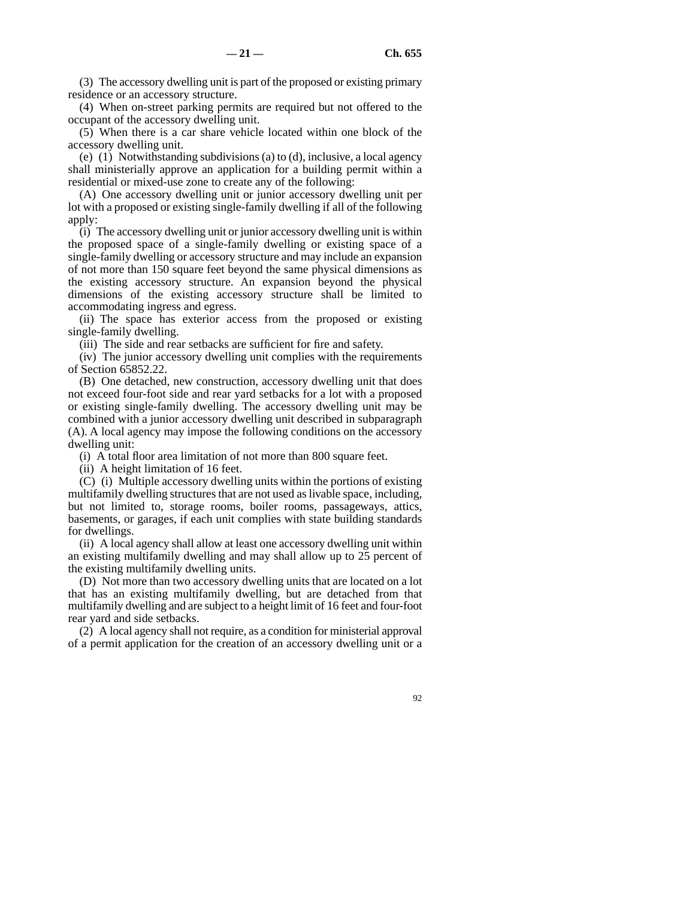(3) The accessory dwelling unit is part of the proposed or existing primary residence or an accessory structure.

(4) When on-street parking permits are required but not offered to the occupant of the accessory dwelling unit.

(5) When there is a car share vehicle located within one block of the accessory dwelling unit.

(e) (1) Notwithstanding subdivisions (a) to (d), inclusive, a local agency shall ministerially approve an application for a building permit within a residential or mixed-use zone to create any of the following:

(A) One accessory dwelling unit or junior accessory dwelling unit per lot with a proposed or existing single-family dwelling if all of the following apply:

(i) The accessory dwelling unit or junior accessory dwelling unit is within the proposed space of a single-family dwelling or existing space of a single-family dwelling or accessory structure and may include an expansion of not more than 150 square feet beyond the same physical dimensions as the existing accessory structure. An expansion beyond the physical dimensions of the existing accessory structure shall be limited to accommodating ingress and egress.

(ii) The space has exterior access from the proposed or existing single-family dwelling.

(iii) The side and rear setbacks are sufficient for fire and safety.

(iv) The junior accessory dwelling unit complies with the requirements of Section 65852.22.

(B) One detached, new construction, accessory dwelling unit that does not exceed four-foot side and rear yard setbacks for a lot with a proposed or existing single-family dwelling. The accessory dwelling unit may be combined with a junior accessory dwelling unit described in subparagraph (A). A local agency may impose the following conditions on the accessory dwelling unit:

(i) A total floor area limitation of not more than 800 square feet.

(ii) A height limitation of 16 feet.

(C) (i) Multiple accessory dwelling units within the portions of existing multifamily dwelling structures that are not used as livable space, including, but not limited to, storage rooms, boiler rooms, passageways, attics, basements, or garages, if each unit complies with state building standards for dwellings.

(ii) A local agency shall allow at least one accessory dwelling unit within an existing multifamily dwelling and may shall allow up to 25 percent of the existing multifamily dwelling units.

(D) Not more than two accessory dwelling units that are located on a lot that has an existing multifamily dwelling, but are detached from that multifamily dwelling and are subject to a height limit of 16 feet and four-foot rear yard and side setbacks.

(2) A local agency shall not require, as a condition for ministerial approval of a permit application for the creation of an accessory dwelling unit or a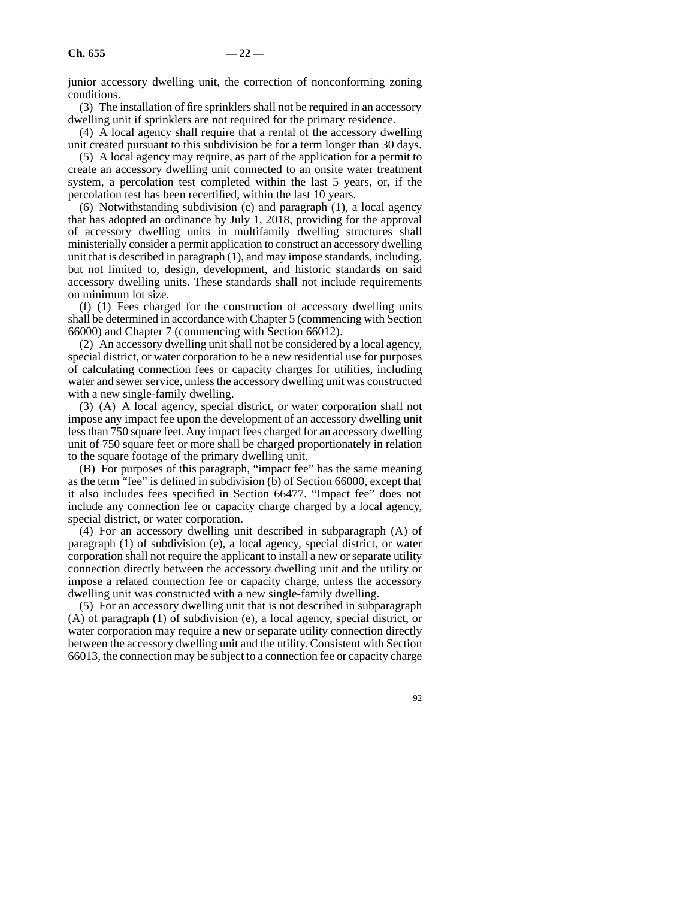junior accessory dwelling unit, the correction of nonconforming zoning conditions.

(3) The installation of fire sprinklers shall not be required in an accessory dwelling unit if sprinklers are not required for the primary residence.

(4) A local agency shall require that a rental of the accessory dwelling unit created pursuant to this subdivision be for a term longer than 30 days.

(5) A local agency may require, as part of the application for a permit to create an accessory dwelling unit connected to an onsite water treatment system, a percolation test completed within the last 5 years, or, if the percolation test has been recertified, within the last 10 years.

(6) Notwithstanding subdivision (c) and paragraph (1), a local agency that has adopted an ordinance by July 1, 2018, providing for the approval of accessory dwelling units in multifamily dwelling structures shall ministerially consider a permit application to construct an accessory dwelling unit that is described in paragraph (1), and may impose standards, including, but not limited to, design, development, and historic standards on said accessory dwelling units. These standards shall not include requirements on minimum lot size.

(f) (1) Fees charged for the construction of accessory dwelling units shall be determined in accordance with Chapter 5 (commencing with Section 66000) and Chapter 7 (commencing with Section 66012).

(2) An accessory dwelling unit shall not be considered by a local agency, special district, or water corporation to be a new residential use for purposes of calculating connection fees or capacity charges for utilities, including water and sewer service, unless the accessory dwelling unit was constructed with a new single-family dwelling.

(3) (A) A local agency, special district, or water corporation shall not impose any impact fee upon the development of an accessory dwelling unit less than 750 square feet. Any impact fees charged for an accessory dwelling unit of 750 square feet or more shall be charged proportionately in relation to the square footage of the primary dwelling unit.

(B) For purposes of this paragraph, "impact fee" has the same meaning as the term "fee" is defined in subdivision (b) of Section 66000, except that it also includes fees specified in Section 66477. "Impact fee" does not include any connection fee or capacity charge charged by a local agency, special district, or water corporation.

(4) For an accessory dwelling unit described in subparagraph (A) of paragraph (1) of subdivision (e), a local agency, special district, or water corporation shall not require the applicant to install a new or separate utility connection directly between the accessory dwelling unit and the utility or impose a related connection fee or capacity charge, unless the accessory dwelling unit was constructed with a new single-family dwelling.

(5) For an accessory dwelling unit that is not described in subparagraph (A) of paragraph (1) of subdivision (e), a local agency, special district, or water corporation may require a new or separate utility connection directly between the accessory dwelling unit and the utility. Consistent with Section 66013, the connection may be subject to a connection fee or capacity charge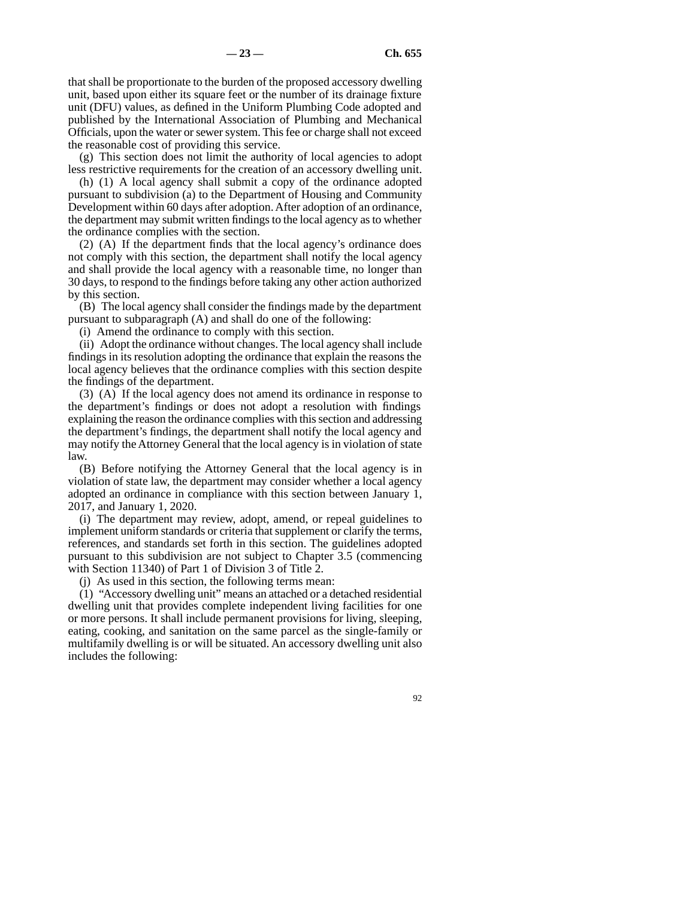that shall be proportionate to the burden of the proposed accessory dwelling unit, based upon either its square feet or the number of its drainage fixture unit (DFU) values, as defined in the Uniform Plumbing Code adopted and published by the International Association of Plumbing and Mechanical Officials, upon the water or sewer system. This fee or charge shall not exceed the reasonable cost of providing this service.

(g) This section does not limit the authority of local agencies to adopt less restrictive requirements for the creation of an accessory dwelling unit.

(h) (1) A local agency shall submit a copy of the ordinance adopted pursuant to subdivision (a) to the Department of Housing and Community Development within 60 days after adoption. After adoption of an ordinance, the department may submit written findings to the local agency as to whether the ordinance complies with the section.

(2) (A) If the department finds that the local agency's ordinance does not comply with this section, the department shall notify the local agency and shall provide the local agency with a reasonable time, no longer than 30 days, to respond to the findings before taking any other action authorized by this section.

(B) The local agency shall consider the findings made by the department pursuant to subparagraph (A) and shall do one of the following:

(i) Amend the ordinance to comply with this section.

(ii) Adopt the ordinance without changes. The local agency shall include findings in its resolution adopting the ordinance that explain the reasons the local agency believes that the ordinance complies with this section despite the findings of the department.

(3) (A) If the local agency does not amend its ordinance in response to the department's findings or does not adopt a resolution with findings explaining the reason the ordinance complies with this section and addressing the department's findings, the department shall notify the local agency and may notify the Attorney General that the local agency is in violation of state law.

(B) Before notifying the Attorney General that the local agency is in violation of state law, the department may consider whether a local agency adopted an ordinance in compliance with this section between January 1, 2017, and January 1, 2020.

(i) The department may review, adopt, amend, or repeal guidelines to implement uniform standards or criteria that supplement or clarify the terms, references, and standards set forth in this section. The guidelines adopted pursuant to this subdivision are not subject to Chapter 3.5 (commencing with Section 11340) of Part 1 of Division 3 of Title 2.

(j) As used in this section, the following terms mean:

(1) "Accessory dwelling unit" means an attached or a detached residential dwelling unit that provides complete independent living facilities for one or more persons. It shall include permanent provisions for living, sleeping, eating, cooking, and sanitation on the same parcel as the single-family or multifamily dwelling is or will be situated. An accessory dwelling unit also includes the following: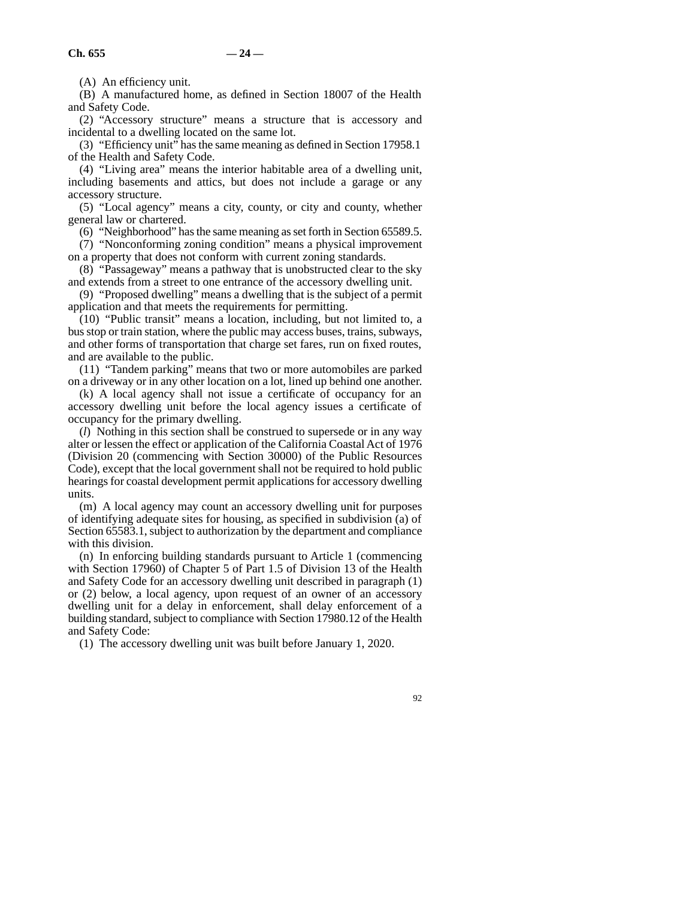(A) An efficiency unit.

(B) A manufactured home, as defined in Section 18007 of the Health and Safety Code.

(2) "Accessory structure" means a structure that is accessory and incidental to a dwelling located on the same lot.

(3) "Efficiency unit" has the same meaning as defined in Section 17958.1 of the Health and Safety Code.

(4) "Living area" means the interior habitable area of a dwelling unit, including basements and attics, but does not include a garage or any accessory structure.

(5) "Local agency" means a city, county, or city and county, whether general law or chartered.

(6) "Neighborhood" has the same meaning as set forth in Section 65589.5.

(7) "Nonconforming zoning condition" means a physical improvement on a property that does not conform with current zoning standards.

(8) "Passageway" means a pathway that is unobstructed clear to the sky and extends from a street to one entrance of the accessory dwelling unit.

(9) "Proposed dwelling" means a dwelling that is the subject of a permit application and that meets the requirements for permitting.

(10) "Public transit" means a location, including, but not limited to, a bus stop or train station, where the public may access buses, trains, subways, and other forms of transportation that charge set fares, run on fixed routes, and are available to the public.

(11) "Tandem parking" means that two or more automobiles are parked on a driveway or in any other location on a lot, lined up behind one another.

(k) A local agency shall not issue a certificate of occupancy for an accessory dwelling unit before the local agency issues a certificate of occupancy for the primary dwelling.

(*l*) Nothing in this section shall be construed to supersede or in any way alter or lessen the effect or application of the California Coastal Act of 1976 (Division 20 (commencing with Section 30000) of the Public Resources Code), except that the local government shall not be required to hold public hearings for coastal development permit applications for accessory dwelling units.

(m) A local agency may count an accessory dwelling unit for purposes of identifying adequate sites for housing, as specified in subdivision (a) of Section 65583.1, subject to authorization by the department and compliance with this division.

(n) In enforcing building standards pursuant to Article 1 (commencing with Section 17960) of Chapter 5 of Part 1.5 of Division 13 of the Health and Safety Code for an accessory dwelling unit described in paragraph (1) or (2) below, a local agency, upon request of an owner of an accessory dwelling unit for a delay in enforcement, shall delay enforcement of a building standard, subject to compliance with Section 17980.12 of the Health and Safety Code:

(1) The accessory dwelling unit was built before January 1, 2020.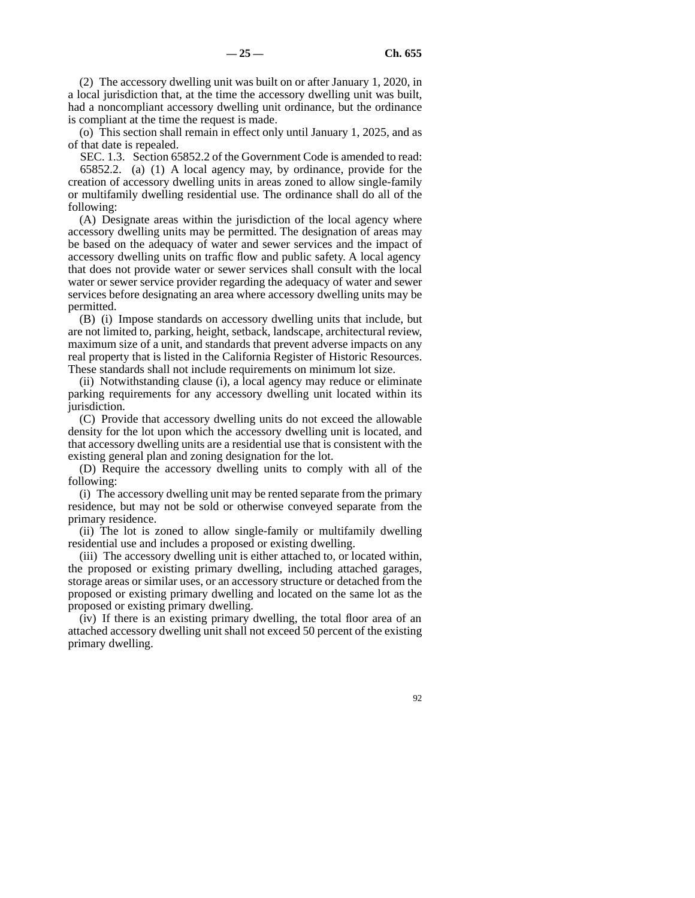(2) The accessory dwelling unit was built on or after January 1, 2020, in a local jurisdiction that, at the time the accessory dwelling unit was built, had a noncompliant accessory dwelling unit ordinance, but the ordinance is compliant at the time the request is made.

(o) This section shall remain in effect only until January 1, 2025, and as of that date is repealed.

SEC. 1.3. Section 65852.2 of the Government Code is amended to read: 65852.2. (a) (1) A local agency may, by ordinance, provide for the creation of accessory dwelling units in areas zoned to allow single-family or multifamily dwelling residential use. The ordinance shall do all of the following:

(A) Designate areas within the jurisdiction of the local agency where accessory dwelling units may be permitted. The designation of areas may be based on the adequacy of water and sewer services and the impact of accessory dwelling units on traffic flow and public safety. A local agency that does not provide water or sewer services shall consult with the local water or sewer service provider regarding the adequacy of water and sewer services before designating an area where accessory dwelling units may be permitted.

(B) (i) Impose standards on accessory dwelling units that include, but are not limited to, parking, height, setback, landscape, architectural review, maximum size of a unit, and standards that prevent adverse impacts on any real property that is listed in the California Register of Historic Resources. These standards shall not include requirements on minimum lot size.

(ii) Notwithstanding clause (i), a local agency may reduce or eliminate parking requirements for any accessory dwelling unit located within its jurisdiction.

(C) Provide that accessory dwelling units do not exceed the allowable density for the lot upon which the accessory dwelling unit is located, and that accessory dwelling units are a residential use that is consistent with the existing general plan and zoning designation for the lot.

(D) Require the accessory dwelling units to comply with all of the following:

(i) The accessory dwelling unit may be rented separate from the primary residence, but may not be sold or otherwise conveyed separate from the primary residence.

(ii) The lot is zoned to allow single-family or multifamily dwelling residential use and includes a proposed or existing dwelling.

(iii) The accessory dwelling unit is either attached to, or located within, the proposed or existing primary dwelling, including attached garages, storage areas or similar uses, or an accessory structure or detached from the proposed or existing primary dwelling and located on the same lot as the proposed or existing primary dwelling.

(iv) If there is an existing primary dwelling, the total floor area of an attached accessory dwelling unit shall not exceed 50 percent of the existing primary dwelling.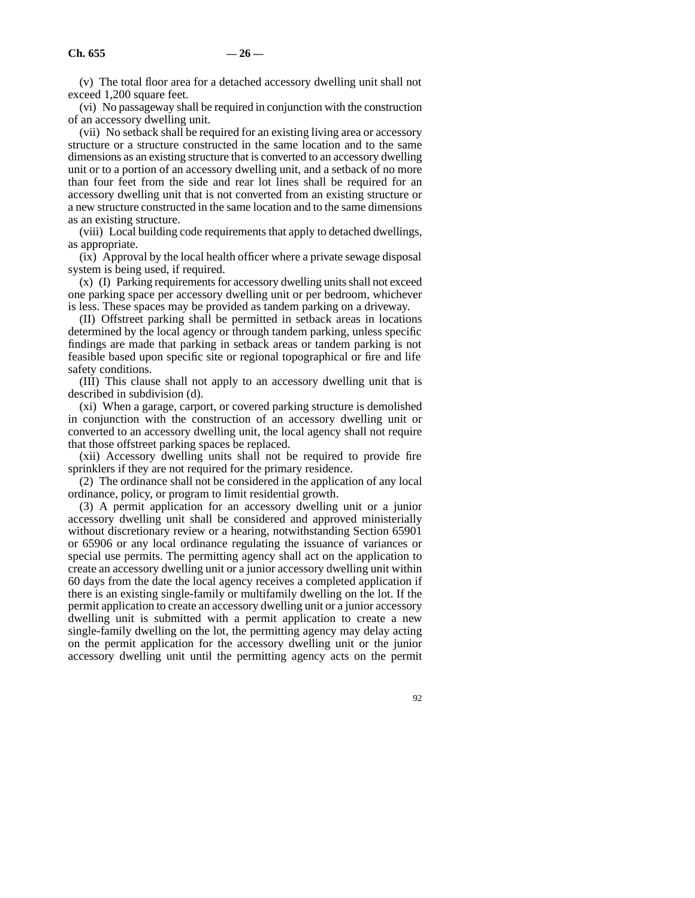(v) The total floor area for a detached accessory dwelling unit shall not exceed 1,200 square feet.

(vi) No passageway shall be required in conjunction with the construction of an accessory dwelling unit.

(vii) No setback shall be required for an existing living area or accessory structure or a structure constructed in the same location and to the same dimensions as an existing structure that is converted to an accessory dwelling unit or to a portion of an accessory dwelling unit, and a setback of no more than four feet from the side and rear lot lines shall be required for an accessory dwelling unit that is not converted from an existing structure or a new structure constructed in the same location and to the same dimensions as an existing structure.

(viii) Local building code requirements that apply to detached dwellings, as appropriate.

(ix) Approval by the local health officer where a private sewage disposal system is being used, if required.

(x) (I) Parking requirements for accessory dwelling units shall not exceed one parking space per accessory dwelling unit or per bedroom, whichever is less. These spaces may be provided as tandem parking on a driveway.

(II) Offstreet parking shall be permitted in setback areas in locations determined by the local agency or through tandem parking, unless specific findings are made that parking in setback areas or tandem parking is not feasible based upon specific site or regional topographical or fire and life safety conditions.

(III) This clause shall not apply to an accessory dwelling unit that is described in subdivision (d).

(xi) When a garage, carport, or covered parking structure is demolished in conjunction with the construction of an accessory dwelling unit or converted to an accessory dwelling unit, the local agency shall not require that those offstreet parking spaces be replaced.

(xii) Accessory dwelling units shall not be required to provide fire sprinklers if they are not required for the primary residence.

(2) The ordinance shall not be considered in the application of any local ordinance, policy, or program to limit residential growth.

(3) A permit application for an accessory dwelling unit or a junior accessory dwelling unit shall be considered and approved ministerially without discretionary review or a hearing, notwithstanding Section 65901 or 65906 or any local ordinance regulating the issuance of variances or special use permits. The permitting agency shall act on the application to create an accessory dwelling unit or a junior accessory dwelling unit within 60 days from the date the local agency receives a completed application if there is an existing single-family or multifamily dwelling on the lot. If the permit application to create an accessory dwelling unit or a junior accessory dwelling unit is submitted with a permit application to create a new single-family dwelling on the lot, the permitting agency may delay acting on the permit application for the accessory dwelling unit or the junior accessory dwelling unit until the permitting agency acts on the permit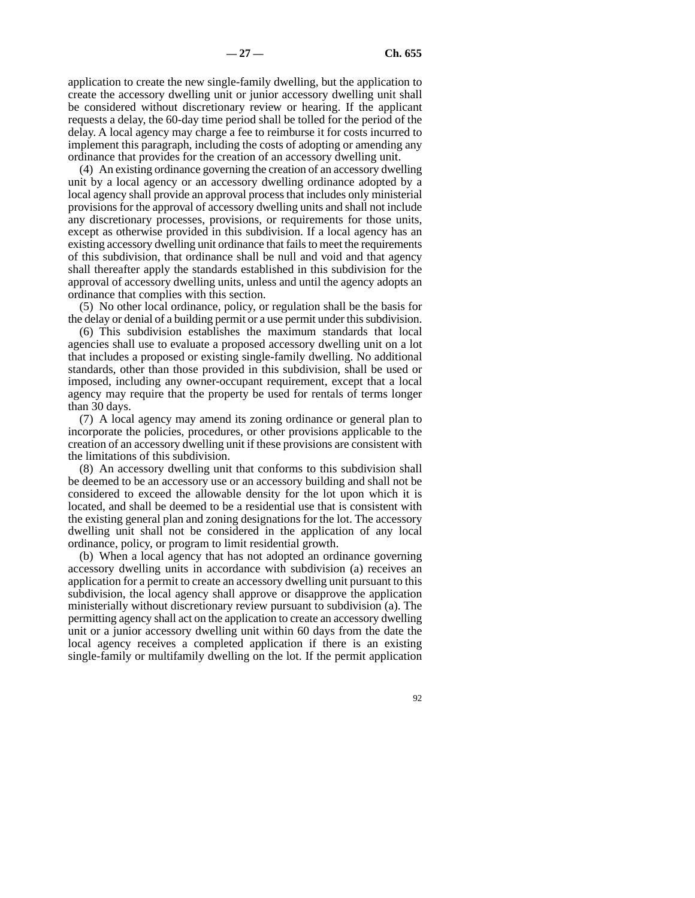application to create the new single-family dwelling, but the application to create the accessory dwelling unit or junior accessory dwelling unit shall be considered without discretionary review or hearing. If the applicant requests a delay, the 60-day time period shall be tolled for the period of the delay. A local agency may charge a fee to reimburse it for costs incurred to implement this paragraph, including the costs of adopting or amending any ordinance that provides for the creation of an accessory dwelling unit.

(4) An existing ordinance governing the creation of an accessory dwelling unit by a local agency or an accessory dwelling ordinance adopted by a local agency shall provide an approval process that includes only ministerial provisions for the approval of accessory dwelling units and shall not include any discretionary processes, provisions, or requirements for those units, except as otherwise provided in this subdivision. If a local agency has an existing accessory dwelling unit ordinance that fails to meet the requirements of this subdivision, that ordinance shall be null and void and that agency shall thereafter apply the standards established in this subdivision for the approval of accessory dwelling units, unless and until the agency adopts an ordinance that complies with this section.

(5) No other local ordinance, policy, or regulation shall be the basis for the delay or denial of a building permit or a use permit under this subdivision.

(6) This subdivision establishes the maximum standards that local agencies shall use to evaluate a proposed accessory dwelling unit on a lot that includes a proposed or existing single-family dwelling. No additional standards, other than those provided in this subdivision, shall be used or imposed, including any owner-occupant requirement, except that a local agency may require that the property be used for rentals of terms longer than 30 days.

(7) A local agency may amend its zoning ordinance or general plan to incorporate the policies, procedures, or other provisions applicable to the creation of an accessory dwelling unit if these provisions are consistent with the limitations of this subdivision.

(8) An accessory dwelling unit that conforms to this subdivision shall be deemed to be an accessory use or an accessory building and shall not be considered to exceed the allowable density for the lot upon which it is located, and shall be deemed to be a residential use that is consistent with the existing general plan and zoning designations for the lot. The accessory dwelling unit shall not be considered in the application of any local ordinance, policy, or program to limit residential growth.

(b) When a local agency that has not adopted an ordinance governing accessory dwelling units in accordance with subdivision (a) receives an application for a permit to create an accessory dwelling unit pursuant to this subdivision, the local agency shall approve or disapprove the application ministerially without discretionary review pursuant to subdivision (a). The permitting agency shall act on the application to create an accessory dwelling unit or a junior accessory dwelling unit within 60 days from the date the local agency receives a completed application if there is an existing single-family or multifamily dwelling on the lot. If the permit application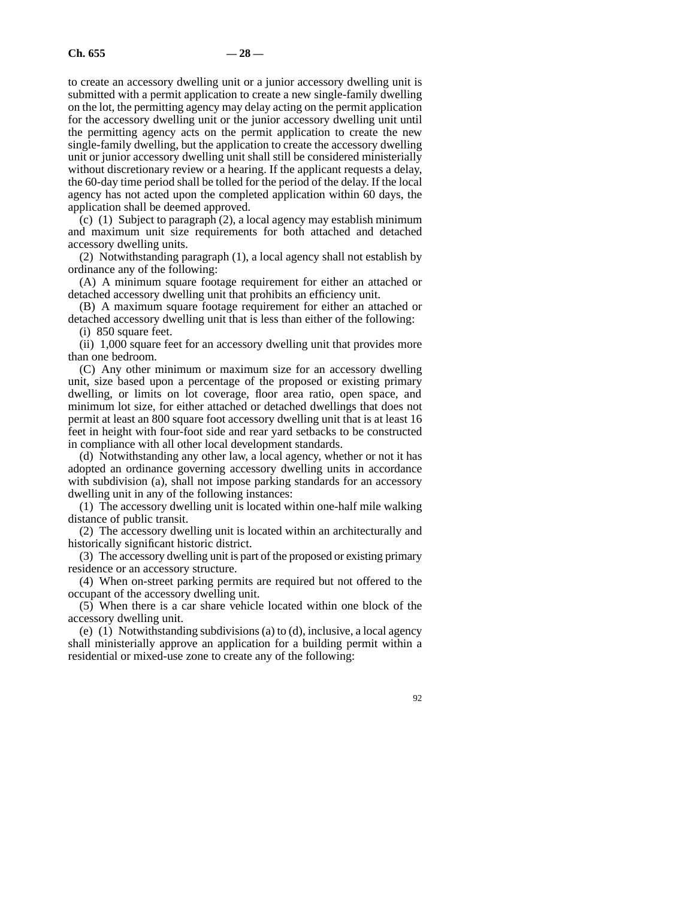to create an accessory dwelling unit or a junior accessory dwelling unit is submitted with a permit application to create a new single-family dwelling on the lot, the permitting agency may delay acting on the permit application for the accessory dwelling unit or the junior accessory dwelling unit until the permitting agency acts on the permit application to create the new single-family dwelling, but the application to create the accessory dwelling unit or junior accessory dwelling unit shall still be considered ministerially without discretionary review or a hearing. If the applicant requests a delay, the 60-day time period shall be tolled for the period of the delay. If the local agency has not acted upon the completed application within 60 days, the application shall be deemed approved.

(c) (1) Subject to paragraph (2), a local agency may establish minimum and maximum unit size requirements for both attached and detached accessory dwelling units.

(2) Notwithstanding paragraph (1), a local agency shall not establish by ordinance any of the following:

(A) A minimum square footage requirement for either an attached or detached accessory dwelling unit that prohibits an efficiency unit.

(B) A maximum square footage requirement for either an attached or detached accessory dwelling unit that is less than either of the following: (i) 850 square feet.

(ii) 1,000 square feet for an accessory dwelling unit that provides more than one bedroom.

(C) Any other minimum or maximum size for an accessory dwelling unit, size based upon a percentage of the proposed or existing primary dwelling, or limits on lot coverage, floor area ratio, open space, and minimum lot size, for either attached or detached dwellings that does not permit at least an 800 square foot accessory dwelling unit that is at least 16 feet in height with four-foot side and rear yard setbacks to be constructed in compliance with all other local development standards.

(d) Notwithstanding any other law, a local agency, whether or not it has adopted an ordinance governing accessory dwelling units in accordance with subdivision (a), shall not impose parking standards for an accessory dwelling unit in any of the following instances:

(1) The accessory dwelling unit is located within one-half mile walking distance of public transit.

(2) The accessory dwelling unit is located within an architecturally and historically significant historic district.

(3) The accessory dwelling unit is part of the proposed or existing primary residence or an accessory structure.

(4) When on-street parking permits are required but not offered to the occupant of the accessory dwelling unit.

(5) When there is a car share vehicle located within one block of the accessory dwelling unit.

(e) (1) Notwithstanding subdivisions (a) to (d), inclusive, a local agency shall ministerially approve an application for a building permit within a residential or mixed-use zone to create any of the following: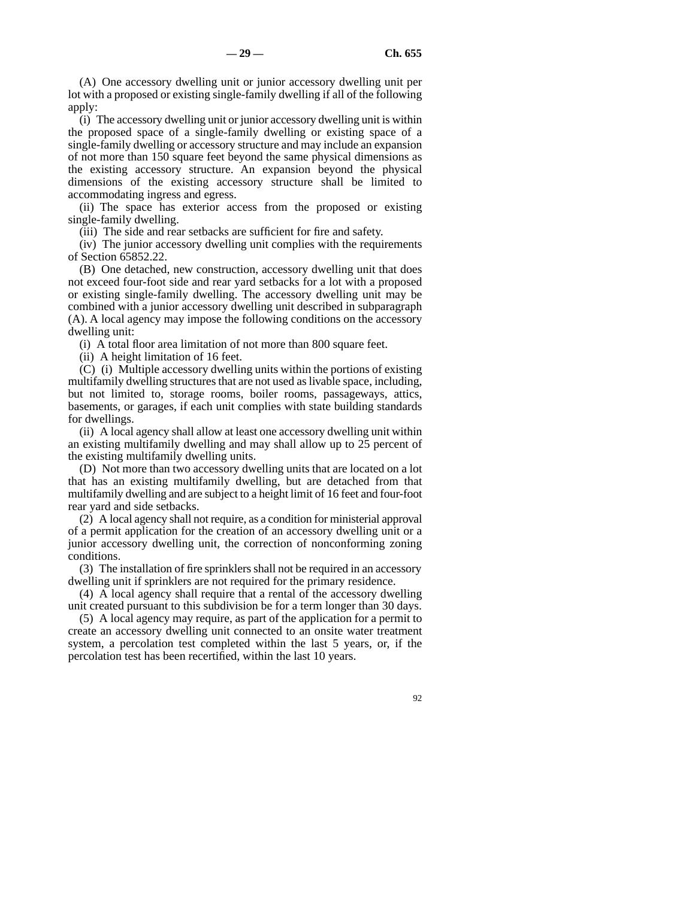(A) One accessory dwelling unit or junior accessory dwelling unit per lot with a proposed or existing single-family dwelling if all of the following apply:

(i) The accessory dwelling unit or junior accessory dwelling unit is within the proposed space of a single-family dwelling or existing space of a single-family dwelling or accessory structure and may include an expansion of not more than 150 square feet beyond the same physical dimensions as the existing accessory structure. An expansion beyond the physical dimensions of the existing accessory structure shall be limited to accommodating ingress and egress.

(ii) The space has exterior access from the proposed or existing single-family dwelling.

(iii) The side and rear setbacks are sufficient for fire and safety.

(iv) The junior accessory dwelling unit complies with the requirements of Section 65852.22.

(B) One detached, new construction, accessory dwelling unit that does not exceed four-foot side and rear yard setbacks for a lot with a proposed or existing single-family dwelling. The accessory dwelling unit may be combined with a junior accessory dwelling unit described in subparagraph (A). A local agency may impose the following conditions on the accessory dwelling unit:

(i) A total floor area limitation of not more than 800 square feet.

(ii) A height limitation of 16 feet.

(C) (i) Multiple accessory dwelling units within the portions of existing multifamily dwelling structures that are not used as livable space, including, but not limited to, storage rooms, boiler rooms, passageways, attics, basements, or garages, if each unit complies with state building standards for dwellings.

(ii) A local agency shall allow at least one accessory dwelling unit within an existing multifamily dwelling and may shall allow up to 25 percent of the existing multifamily dwelling units.

(D) Not more than two accessory dwelling units that are located on a lot that has an existing multifamily dwelling, but are detached from that multifamily dwelling and are subject to a height limit of 16 feet and four-foot rear yard and side setbacks.

(2) A local agency shall not require, as a condition for ministerial approval of a permit application for the creation of an accessory dwelling unit or a junior accessory dwelling unit, the correction of nonconforming zoning conditions.

(3) The installation of fire sprinklers shall not be required in an accessory dwelling unit if sprinklers are not required for the primary residence.

(4) A local agency shall require that a rental of the accessory dwelling unit created pursuant to this subdivision be for a term longer than 30 days.

(5) A local agency may require, as part of the application for a permit to create an accessory dwelling unit connected to an onsite water treatment system, a percolation test completed within the last 5 years, or, if the percolation test has been recertified, within the last 10 years.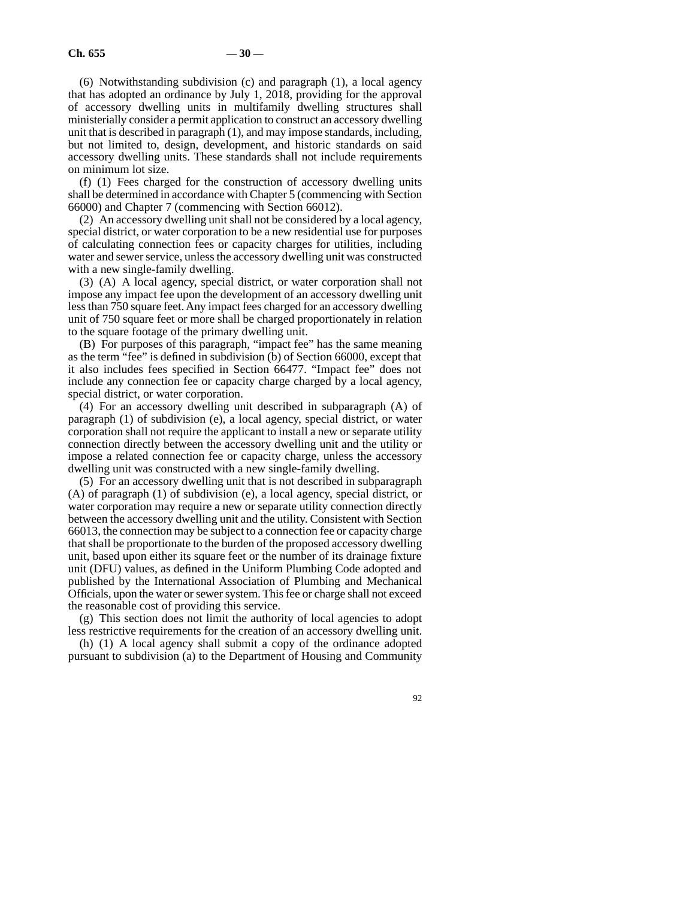(6) Notwithstanding subdivision (c) and paragraph (1), a local agency that has adopted an ordinance by July 1, 2018, providing for the approval of accessory dwelling units in multifamily dwelling structures shall ministerially consider a permit application to construct an accessory dwelling unit that is described in paragraph (1), and may impose standards, including, but not limited to, design, development, and historic standards on said accessory dwelling units. These standards shall not include requirements on minimum lot size.

(f) (1) Fees charged for the construction of accessory dwelling units shall be determined in accordance with Chapter 5 (commencing with Section 66000) and Chapter 7 (commencing with Section 66012).

(2) An accessory dwelling unit shall not be considered by a local agency, special district, or water corporation to be a new residential use for purposes of calculating connection fees or capacity charges for utilities, including water and sewer service, unless the accessory dwelling unit was constructed with a new single-family dwelling.

(3) (A) A local agency, special district, or water corporation shall not impose any impact fee upon the development of an accessory dwelling unit less than 750 square feet. Any impact fees charged for an accessory dwelling unit of 750 square feet or more shall be charged proportionately in relation to the square footage of the primary dwelling unit.

(B) For purposes of this paragraph, "impact fee" has the same meaning as the term "fee" is defined in subdivision (b) of Section 66000, except that it also includes fees specified in Section 66477. "Impact fee" does not include any connection fee or capacity charge charged by a local agency, special district, or water corporation.

(4) For an accessory dwelling unit described in subparagraph (A) of paragraph (1) of subdivision (e), a local agency, special district, or water corporation shall not require the applicant to install a new or separate utility connection directly between the accessory dwelling unit and the utility or impose a related connection fee or capacity charge, unless the accessory dwelling unit was constructed with a new single-family dwelling.

(5) For an accessory dwelling unit that is not described in subparagraph (A) of paragraph (1) of subdivision (e), a local agency, special district, or water corporation may require a new or separate utility connection directly between the accessory dwelling unit and the utility. Consistent with Section 66013, the connection may be subject to a connection fee or capacity charge that shall be proportionate to the burden of the proposed accessory dwelling unit, based upon either its square feet or the number of its drainage fixture unit (DFU) values, as defined in the Uniform Plumbing Code adopted and published by the International Association of Plumbing and Mechanical Officials, upon the water or sewer system. This fee or charge shall not exceed the reasonable cost of providing this service.

(g) This section does not limit the authority of local agencies to adopt less restrictive requirements for the creation of an accessory dwelling unit.

(h) (1) A local agency shall submit a copy of the ordinance adopted pursuant to subdivision (a) to the Department of Housing and Community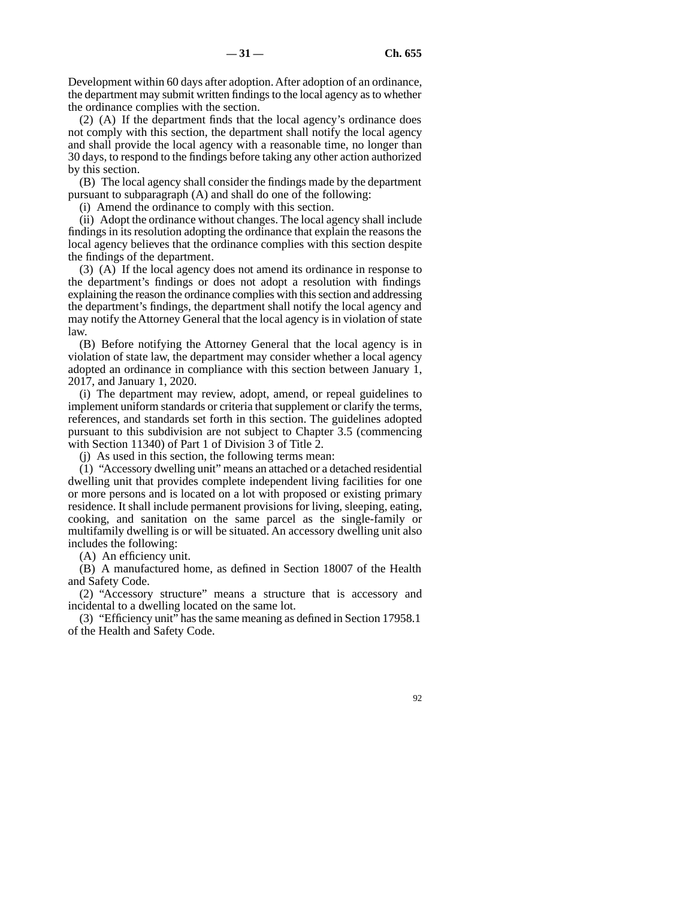Development within 60 days after adoption. After adoption of an ordinance, the department may submit written findings to the local agency as to whether the ordinance complies with the section.

(2) (A) If the department finds that the local agency's ordinance does not comply with this section, the department shall notify the local agency and shall provide the local agency with a reasonable time, no longer than 30 days, to respond to the findings before taking any other action authorized by this section.

(B) The local agency shall consider the findings made by the department pursuant to subparagraph (A) and shall do one of the following:

(i) Amend the ordinance to comply with this section.

(ii) Adopt the ordinance without changes. The local agency shall include findings in its resolution adopting the ordinance that explain the reasons the local agency believes that the ordinance complies with this section despite the findings of the department.

(3) (A) If the local agency does not amend its ordinance in response to the department's findings or does not adopt a resolution with findings explaining the reason the ordinance complies with this section and addressing the department's findings, the department shall notify the local agency and may notify the Attorney General that the local agency is in violation of state law.

(B) Before notifying the Attorney General that the local agency is in violation of state law, the department may consider whether a local agency adopted an ordinance in compliance with this section between January 1, 2017, and January 1, 2020.

(i) The department may review, adopt, amend, or repeal guidelines to implement uniform standards or criteria that supplement or clarify the terms, references, and standards set forth in this section. The guidelines adopted pursuant to this subdivision are not subject to Chapter 3.5 (commencing with Section 11340) of Part 1 of Division 3 of Title 2.

(j) As used in this section, the following terms mean:

(1) "Accessory dwelling unit" means an attached or a detached residential dwelling unit that provides complete independent living facilities for one or more persons and is located on a lot with proposed or existing primary residence. It shall include permanent provisions for living, sleeping, eating, cooking, and sanitation on the same parcel as the single-family or multifamily dwelling is or will be situated. An accessory dwelling unit also includes the following:

(A) An efficiency unit.

(B) A manufactured home, as defined in Section 18007 of the Health and Safety Code.

(2) "Accessory structure" means a structure that is accessory and incidental to a dwelling located on the same lot.

(3) "Efficiency unit" has the same meaning as defined in Section 17958.1 of the Health and Safety Code.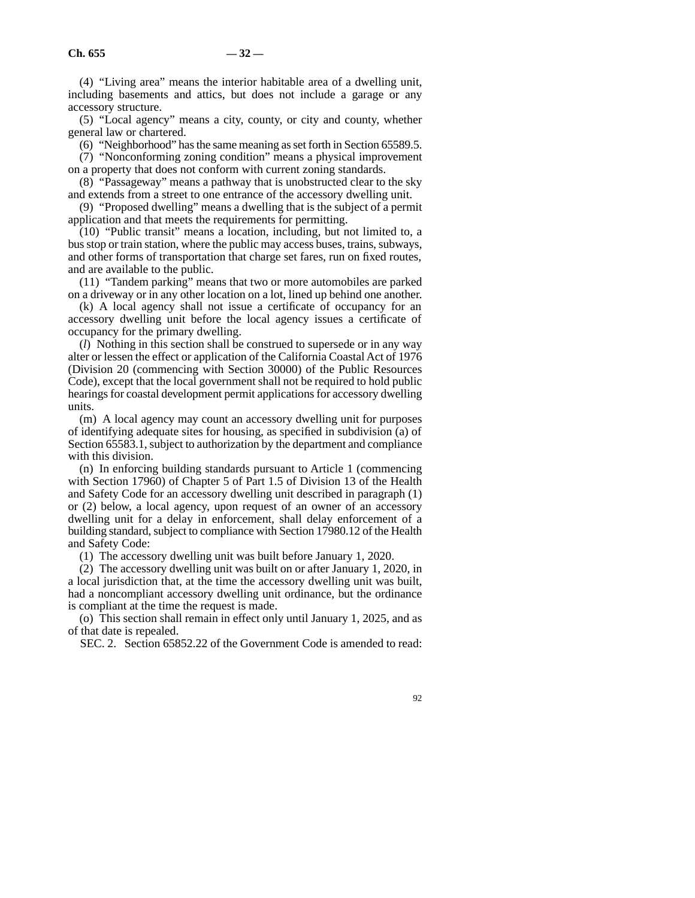(4) "Living area" means the interior habitable area of a dwelling unit, including basements and attics, but does not include a garage or any accessory structure.

(5) "Local agency" means a city, county, or city and county, whether general law or chartered.

(6) "Neighborhood" has the same meaning as set forth in Section 65589.5.

(7) "Nonconforming zoning condition" means a physical improvement on a property that does not conform with current zoning standards.

(8) "Passageway" means a pathway that is unobstructed clear to the sky and extends from a street to one entrance of the accessory dwelling unit.

(9) "Proposed dwelling" means a dwelling that is the subject of a permit application and that meets the requirements for permitting.

(10) "Public transit" means a location, including, but not limited to, a bus stop or train station, where the public may access buses, trains, subways, and other forms of transportation that charge set fares, run on fixed routes, and are available to the public.

(11) "Tandem parking" means that two or more automobiles are parked on a driveway or in any other location on a lot, lined up behind one another.

(k) A local agency shall not issue a certificate of occupancy for an accessory dwelling unit before the local agency issues a certificate of occupancy for the primary dwelling.

(*l*) Nothing in this section shall be construed to supersede or in any way alter or lessen the effect or application of the California Coastal Act of 1976 (Division 20 (commencing with Section 30000) of the Public Resources Code), except that the local government shall not be required to hold public hearings for coastal development permit applications for accessory dwelling units.

(m) A local agency may count an accessory dwelling unit for purposes of identifying adequate sites for housing, as specified in subdivision (a) of Section 65583.1, subject to authorization by the department and compliance with this division.

(n) In enforcing building standards pursuant to Article 1 (commencing with Section 17960) of Chapter 5 of Part 1.5 of Division 13 of the Health and Safety Code for an accessory dwelling unit described in paragraph (1) or (2) below, a local agency, upon request of an owner of an accessory dwelling unit for a delay in enforcement, shall delay enforcement of a building standard, subject to compliance with Section 17980.12 of the Health and Safety Code:

(1) The accessory dwelling unit was built before January 1, 2020.

(2) The accessory dwelling unit was built on or after January 1, 2020, in a local jurisdiction that, at the time the accessory dwelling unit was built, had a noncompliant accessory dwelling unit ordinance, but the ordinance is compliant at the time the request is made.

(o) This section shall remain in effect only until January 1, 2025, and as of that date is repealed.

SEC. 2. Section 65852.22 of the Government Code is amended to read: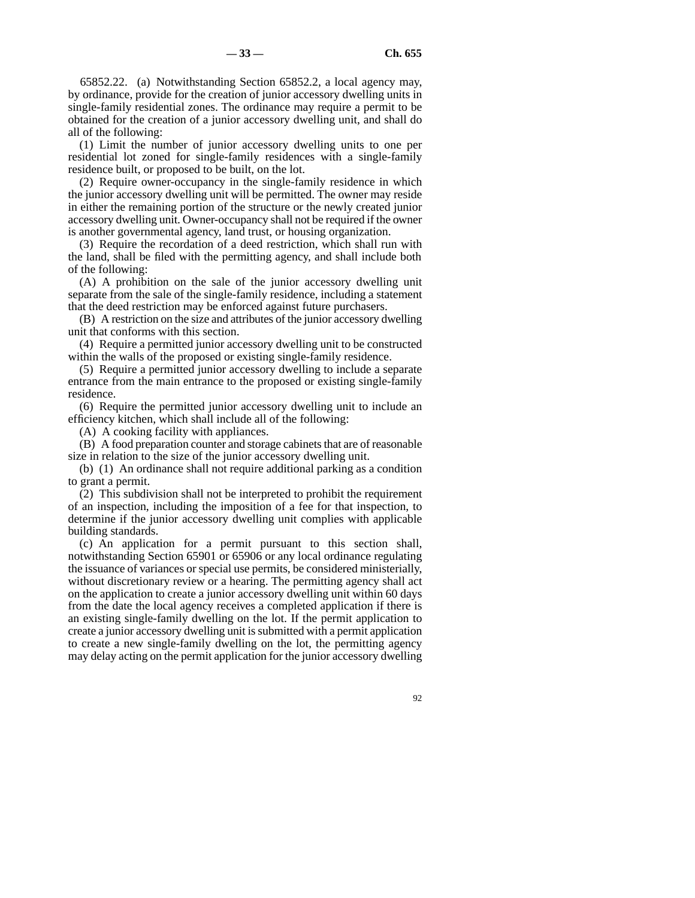65852.22. (a) Notwithstanding Section 65852.2, a local agency may, by ordinance, provide for the creation of junior accessory dwelling units in single-family residential zones. The ordinance may require a permit to be obtained for the creation of a junior accessory dwelling unit, and shall do all of the following:

(1) Limit the number of junior accessory dwelling units to one per residential lot zoned for single-family residences with a single-family residence built, or proposed to be built, on the lot.

(2) Require owner-occupancy in the single-family residence in which the junior accessory dwelling unit will be permitted. The owner may reside in either the remaining portion of the structure or the newly created junior accessory dwelling unit. Owner-occupancy shall not be required if the owner is another governmental agency, land trust, or housing organization.

(3) Require the recordation of a deed restriction, which shall run with the land, shall be filed with the permitting agency, and shall include both of the following:

(A) A prohibition on the sale of the junior accessory dwelling unit separate from the sale of the single-family residence, including a statement that the deed restriction may be enforced against future purchasers.

(B) A restriction on the size and attributes of the junior accessory dwelling unit that conforms with this section.

(4) Require a permitted junior accessory dwelling unit to be constructed within the walls of the proposed or existing single-family residence.

(5) Require a permitted junior accessory dwelling to include a separate entrance from the main entrance to the proposed or existing single-family residence.

(6) Require the permitted junior accessory dwelling unit to include an efficiency kitchen, which shall include all of the following:

(A) A cooking facility with appliances.

(B) A food preparation counter and storage cabinets that are of reasonable size in relation to the size of the junior accessory dwelling unit.

(b) (1) An ordinance shall not require additional parking as a condition to grant a permit.

(2) This subdivision shall not be interpreted to prohibit the requirement of an inspection, including the imposition of a fee for that inspection, to determine if the junior accessory dwelling unit complies with applicable building standards.

(c) An application for a permit pursuant to this section shall, notwithstanding Section 65901 or 65906 or any local ordinance regulating the issuance of variances or special use permits, be considered ministerially, without discretionary review or a hearing. The permitting agency shall act on the application to create a junior accessory dwelling unit within 60 days from the date the local agency receives a completed application if there is an existing single-family dwelling on the lot. If the permit application to create a junior accessory dwelling unit is submitted with a permit application to create a new single-family dwelling on the lot, the permitting agency may delay acting on the permit application for the junior accessory dwelling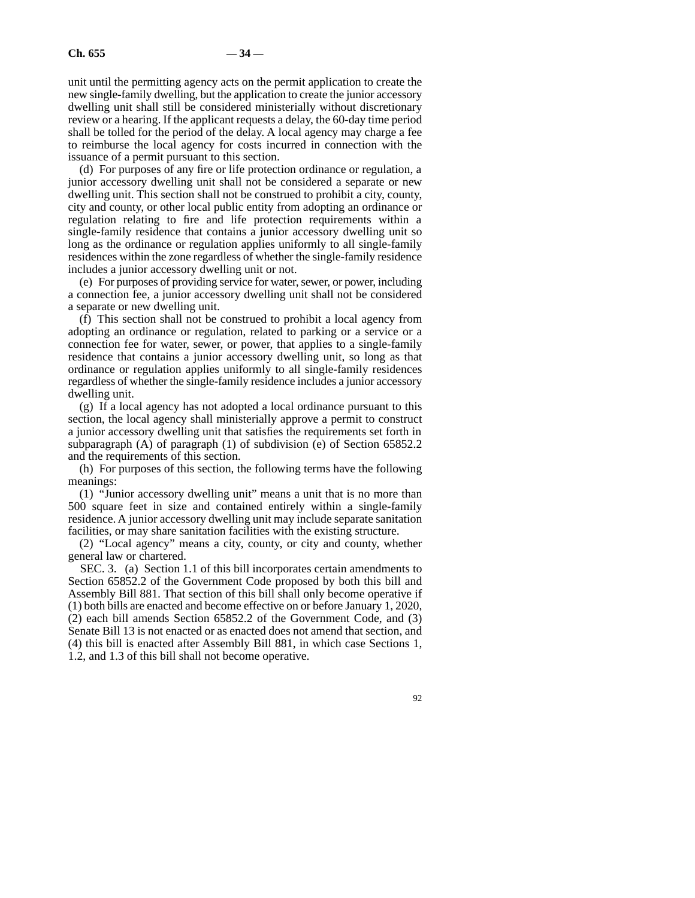unit until the permitting agency acts on the permit application to create the new single-family dwelling, but the application to create the junior accessory dwelling unit shall still be considered ministerially without discretionary review or a hearing. If the applicant requests a delay, the 60-day time period shall be tolled for the period of the delay. A local agency may charge a fee to reimburse the local agency for costs incurred in connection with the issuance of a permit pursuant to this section.

(d) For purposes of any fire or life protection ordinance or regulation, a junior accessory dwelling unit shall not be considered a separate or new dwelling unit. This section shall not be construed to prohibit a city, county, city and county, or other local public entity from adopting an ordinance or regulation relating to fire and life protection requirements within a single-family residence that contains a junior accessory dwelling unit so long as the ordinance or regulation applies uniformly to all single-family residences within the zone regardless of whether the single-family residence includes a junior accessory dwelling unit or not.

(e) For purposes of providing service for water, sewer, or power, including a connection fee, a junior accessory dwelling unit shall not be considered a separate or new dwelling unit.

(f) This section shall not be construed to prohibit a local agency from adopting an ordinance or regulation, related to parking or a service or a connection fee for water, sewer, or power, that applies to a single-family residence that contains a junior accessory dwelling unit, so long as that ordinance or regulation applies uniformly to all single-family residences regardless of whether the single-family residence includes a junior accessory dwelling unit.

(g) If a local agency has not adopted a local ordinance pursuant to this section, the local agency shall ministerially approve a permit to construct a junior accessory dwelling unit that satisfies the requirements set forth in subparagraph (A) of paragraph (1) of subdivision (e) of Section 65852.2 and the requirements of this section.

(h) For purposes of this section, the following terms have the following meanings:

(1) "Junior accessory dwelling unit" means a unit that is no more than 500 square feet in size and contained entirely within a single-family residence. A junior accessory dwelling unit may include separate sanitation facilities, or may share sanitation facilities with the existing structure.

(2) "Local agency" means a city, county, or city and county, whether general law or chartered.

SEC. 3. (a) Section 1.1 of this bill incorporates certain amendments to Section 65852.2 of the Government Code proposed by both this bill and Assembly Bill 881. That section of this bill shall only become operative if (1) both bills are enacted and become effective on or before January 1, 2020, (2) each bill amends Section 65852.2 of the Government Code, and (3) Senate Bill 13 is not enacted or as enacted does not amend that section, and (4) this bill is enacted after Assembly Bill 881, in which case Sections 1, 1.2, and 1.3 of this bill shall not become operative.